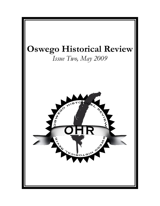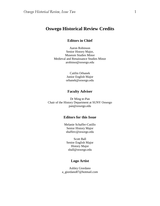# **Oswego Historical Review Credits**

### **Editors in Chief**

Aaron Robinson Senior History Major, Museum Studies Minor Medieval and Renaissance Studies Minor arobinso@oswego.edu

> Caitlin Orbanek Junior English Major orbanek@oswego.edu

#### **Faculty Adviser**

Dr Ming te-Pan Chair of the History Department at SUNY Oswego pan@oswego.edu

#### **Editors for this Issue**

Melanie Schaffer-Cutillo Senior History Major shafferc@oswego.edu

Scott Ball Senior English Major History Major sball@oswego.edu

#### **Logo Artist**

Ashley Giordano a\_giordano87@hotmail.com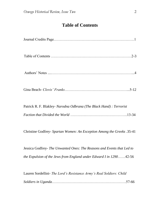# **Table of Contents**

| Patrick R. F. Blakley- Narodna Odbrana (The Black Hand): Terrorist     |
|------------------------------------------------------------------------|
|                                                                        |
| Christine Godfrey- Spartan Women: An Exception Among the Greeks .35-41 |

Jessica Godfrey- *The Unwanted Ones: The Reasons and Events that Led to the Expulsion of the Jews from England under Edward I in 1290*……42-56

Lauren Sordellini- *The Lord's Resistance Army's Real Soldiers: Child Soldiers in Uganda*…………………………………………………….57-66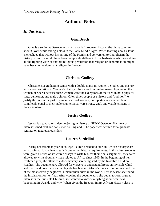# **Authors' Notes**

#### *In this issue:*

#### **Gina Beach**

 Gina is a senior at Oswego and my major is European History. She chose to write about Clovis while taking a class in the Early Middle Ages. When learning about Clovis she realized that without his uniting of the Franks and conversion to Catholicism the history of Europe might have been completely different. If the barbarians who were doing all the fighting were of another religious persuasion that religion or denomination might have became the dominant religion in Europe.

#### **Christine Godfrey**

 Christine is a graduating senior with a double major in Women's Studies and History with a concentration in Women's History. She chose to write her research paper on the women of Sparta because these women were the exceptions of their sex in both physical state, demeanor, and male opinion. Often times people use history and "tradition" to justify the current or past treatment/status of women, but Spartan women, while not completely equal to their male counterparts, were strong, vital, and visible citizens in their city-state.

#### **Jessica Godfrey**

 Jessica is a graduate student majoring in history at SUNY Oswego. Her area of interest is medieval and early modern England. The paper was written for a graduate seminar on medieval outsiders.

#### **Lauren Sordellini**

 During her freshman year in college, Lauren decided to take an African history class with professor Usuanlele to satisfy one of her history requirements. In this class, students were given a series of structured essays to write but, for their final assignment, they were allowed to write about any issue related to Africa since 1800. In the beginning of her freshman year, she attended a documentary screening held by the Invisible Children Roadies. The documentary allowed for viewers to understand life as an Invisible Child and discussed how the issue in Uganda has become Africa"s longest running war and one of the most severely neglected humanitarian crisis in the world. This is where she found the inspiration for her final. After viewing the documentary she began to form a great interest in the Invisible Children, she wanted to know everything about what was happening in Uganda and why. When given the freedom in my African History class to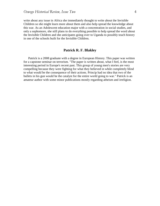write about any issue in Africa she immediately thought to write about the Invisible Children so she might learn more about them and also help spread the knowledge about this war. As an Adolescent education major with a concentration in social studies, and only a sophomore, she still plans to do everything possible to help spread the word about the Invisible Children and she anticipates going over to Uganda to possibly teach history in one of the schools built for the Invisible Children.

#### **Patrick R. F. Blakley**

 Patrick is a 2008 graduate with a degree in European History. This paper was written for a capstone seminar on terrorism. "The paper is written about, what I feel, is the most interesting period in Europe's recent past. This group of young men's stories are very compelling because they were fighting for what they believed in while completely blind to what would be the consequence of their actions. Princip had no idea that two of the bullets in his gun would be the catalyst for the entire world going to war." Patrick is an amateur author with some minor publications mostly regarding atheism and irreligion.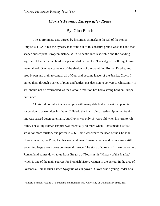# *Clovis's Franks: Europe after Rome* By: Gina Beach

The approximate date agreed by historians as marking the fall of the Roman Empire is 410AD, but the dynasty that came out of this obscure period was the hand that shaped subsequent European history. With no centralized leadership and the banding together of the barbarian hordes, a period darker than the "Dark Ages" itself might have materialized. One man came out of the shadows of the crumbling Roman Empire, and used brawn and brain to control all of Gaul and become leader of the Franks. Clovis I united them through a series of plots and battles. His decision to convert to Christianity in 496 should not be overlooked, as the Catholic tradition has had a strong hold on Europe ever since.

Clovis did not inherit a vast empire with many able bodied warriors upon his succession to power after his father Childeric the Frank died. Leadership in the Frankish line was passed down paternally, but Clovis was only 15 years old when his turn to rule came. The ailing Roman Empire was essentially no more when Clovis made his first strike for more territory and power in 486. Rome was where the head of the Christian church on earth, the Pope, had his seat, and men Roman in name and culture were still governing large areas across continental Europe. The story of Clovis"s first excursion into Roman land comes down to us from Gregory of Tours in his "History of the Franks," which is one of the main sources for Frankish history written in the period. In the area of Soissons a Roman ruler named Syagrius was in power.<sup>1</sup> Clovis was a young leader of a

<sup>&</sup>lt;sup>1</sup> Randers-Pehrson, Justine D. Barbarians and Romans. OK: University of Oklahoma P, 1983. 260.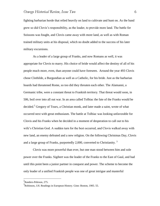fighting barbarian horde that relied heavily on land to cultivate and hunt on. As the band grew so did Clovis"s responsibility, as the leader, to provide more land. The battle for Soissons was fought, and Clovis came away with more land, as well as with Roman trained military units at his disposal, which no doubt added to the success of his later military excursions.

As a leader of a large group of Franks, and now Romans as well, it was appropriate for Clovis to marry. His choice of bride would affect the destiny of all of his people much more, even, than anyone could have foreseen. Around the year 493 Clovis chose Clothilde, a Burgundian as well as a Catholic, for his bride. Just as the barbarian hoards had threatened Rome, so too did they threaten each other. The Alamanni, a Germanic tribe, were a constant threat to Frankish territory. That threat would soon, in 506, boil over into all out war. In an area called Tolbiac the fate of the Franks would be decided.<sup>2</sup> Gregory of Tours, a Christian monk, and later made a saint, wrote of what occurred next with great enthusiasm. The battle at Tolbiac was looking unfavorable for Clovis and his Franks when he decided in a moment of desperation to call out to his wife's Christian God. A sudden turn for the best occurred, and Clovis walked away with new land, an enemy defeated and a new religion. On the following Christmas Day, Clovis and a large group of Franks, purportedly 2,000, converted to Christianity.<sup>3</sup>

Clovis was more powerful than ever, but one man stood between him and sole power over the Franks. Sigibert was the leader of the Franks to the East of Gaul, and had until this point been a junior partner in conquest and power. The scheme to become the only leader of a unified Frankish people was one of great intrigue and masterful

<sup>&</sup>lt;sup>2</sup>Randers-Pehrson, 275.

<sup>&</sup>lt;sup>3</sup> Robinson, J.H. Readings in European History. Ginn: Boston, 1905. 55.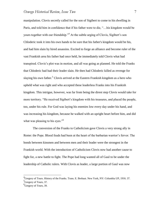manipulation. Clovis secretly called for the son of Sigibert to come to his dwelling in Paris, and told him in confidence that if his father were to die, "…his kingdom would be yours together with our friendship."<sup>4</sup> At the subtle urging of Clovis, Sigibert's son Chloderic took it into his own hands to be sure that his father's kingdom would be his, and had him slain by hired assassins. Excited to forge an alliance and become ruler of the vast Frankish area his father had once held, he immediately told Clovis what had transpired. Clovis"s plot was in motion, and all was going as planned. He told the Franks that Chloderic had had their leader slain. He then had Chloderic killed as revenge for slaying his own father.<sup>5</sup> Clovis arrived at the Eastern Frankish kingdom as a hero who upheld what was right and who accepted these leaderless Franks into his Frankish kingdom. This intrigue, however, was far from being the direst step Clovis would take for more territory. "He received Sigibert"s kingdom with his treasures, and placed the people, too, under his rule. For God was laying his enemies low every day under his hand, and was increasing his kingdom, because he walked with an upright heart before him, and did what was pleasing to his eyes."<sup>6</sup>

The conversion of the Franks to Catholicism gave Clovis a very strong ally in Rome: the Pope. Blood feuds had been at the heart of the barbarian warrior's fervor. The bonds between kinsmen and between men and their leader were the strongest in the Frankish world. With the introduction of Catholicism Clovis now had another cause to fight for, a new battle to fight. The Pope had long wanted all of Gaul to be under the leadership of Catholic rulers. With Clovis as leader, a large portion of Gaul was now

<sup>&</sup>lt;sup>4</sup> Gregory of Tours. History of the Franks. Trans. E. Brehaut. New York, NY: Columbia UP, 1916. 37. <sup>5</sup>Gregory of Tours, 37.

<sup>&</sup>lt;sup>6</sup>Gregory of Tours, 39.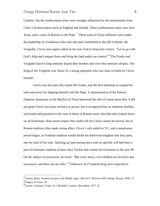Catholic, but the southwestern areas were strongly influenced by the missionaries from Celtic Christian places such as England and Ireland. These southwestern areas were thus Arian, and a cause of distress to the Pope.<sup>7</sup> These areas of Arian influence were under the leadership of a barbarian tribe who also had contributed to the fall of Rome, the Visigoths. Clovis once again called on his new God to bring him victory: "Let us go with God's help and conquer them and bring the land under our control."<sup>8</sup> The Franks and Visigoths had for long uneasily shared their borders and were thus enemies already. The King of the Visigoths was Alaric II, a strong opponent who was slain in battle by Clovis himself.

Clovis was the man who united the Franks, and the first barbarian to expand his land and power by aligning himself with the Pope. A representative of the Eastern Emperor Anastasias in the Basilica of Tours bestowed the title of consul upon him. It did not grant Clovis any more territory or power, but it recognized him as someone familiar, welcomed and powerful in the eyes of those of Roman stock who had once looked down on all barbarians. How much respect they really felt for Clovis cannot be known, but in Roman tradition titles made strong allies. Clovis's rule ended in 511, and a tumultuous period began, as Frankish tradition would divide his hard-won kingdom into four parts, one for each of his sons. Splitting up land among heirs with no specific will had been a part of Germanic tradition at least since Tacitus had written his Germania in the year 98. On the subject of succession, he wrote: "But every man"s own children are his heirs and successors, and there are no wills."<sup>9</sup> Followers of a Frankish king were expected to

 $^{7}$ Tierney, Brian. Western Europe in the Middle Ages: 300-1475. McGraw-Hill College: Boston, 1999. 73. <sup>8</sup>Gregory of Tours, 36.

<sup>&</sup>lt;sup>9</sup> Tacitus. Germania. Trans. W.J. Brodribb. London: Macmillan, 1977. 87.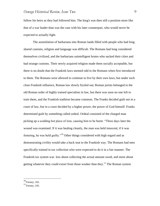follow his heirs as they had followed him. The king's was then still a position more like that of a war leader than was the case with his later counterpart, who would never be expected to actually fight.

The assimilation of barbarians into Roman lands filled with people who had long shared customs, religion and language was difficult. The Romans had long considered themselves civilized, and the barbarians unintelligent brutes who sacked their cities and had strange customs. Their newly acquired religion made them socially acceptable, but there is no doubt that the Frankish laws seemed odd to the Romans when first introduced to them. The Romans were allowed to continue to live by their own laws, but under such close Frankish influence, Roman law slowly fizzled out; Roman jurists belonged to the old Roman order of highly trained specialists in law, but there was soon no one left to train them, and the Frankish tradition became common. The Franks decided guilt not in a court of law, but in a court decided by a higher power, the power of God himself. Franks determined guilt by something called ordeal. Ordeal consisted of the charged man picking up a scalding hot piece of iron, causing him to be burnt. "Three days later the wound was examined. If it was healing cleanly, the man was held innocent; if it was festering, he was held guilty."<sup>10</sup> Other things considered with high regard and as demonstrating civility would take a back seat to the Frankish way. The Romans had men specifically trained in tax collection who were expected to do it in a fair manner. The Frankish tax system was less about collecting the actual amount owed, and more about getting whatever they could extort from those weaker than they.<sup>11</sup> The Roman system

 $10$ Tierney, 102.

 $11$ Tierney, 105.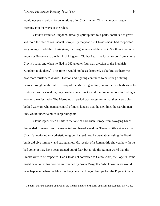would not see a revival for generations after Clovis, when Christian morals began creeping into the ways of the rulers.

Clovis"s Frankish kingdom, although split up into four parts, continued to grow and mold the face of continental Europe. By the year 536 Clovis"s heirs had cooperated long enough to add the Thuringians, the Burgundians and the area in Southern Gaul now known as Provence to the Frankish kingdom. Clothar I was the last survivor from among Clovis"s sons, and when he died in 562 another four-way division of the Frankish Kingdom took place.<sup>12</sup> This time it would not be as disorderly as before, as there was now more territory to divide. Division and fighting continued to be strong defining factors throughout the entire history of the Merovingian line, but as the first barbarians to control an entire kingdom, they needed some time to work out imperfections in finding a way to rule effectively. The Merovingian period was necessary in that they were ablebodied warriors who gained control of much land so that the next line, the Carolingian line, would inherit a much larger kingdom.

Clovis represented a shift in the tone of barbarian Europe from ravaging bands that raided Roman cities to a respected and feared kingdom. There is little evidence that Clovis"s newfound monotheistic religion changed how he went about ruling the Franks, but it did give him new and strong allies. His receipt of a Roman title showed how far he had come. It may have been granted out of fear, but it told the Roman world that the Franks were to be respected. Had Clovis not converted to Catholicism, the Pope in Rome might have found his borders surrounded by Arian Visigoths. Who knows what would have happened when the Muslims began encroaching on Europe had the Pope not had all

 $12$ Gibbons, Edward. Decline and Fall of the Roman Empire. J.M. Dent and Sons ltd: London, 1787. 349.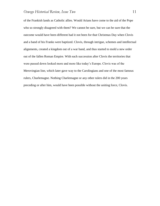of the Frankish lands as Catholic allies. Would Arians have come to the aid of the Pope who so strongly disagreed with them? We cannot be sure, but we can be sure that the outcome would have been different had it not been for that Christmas Day when Clovis and a band of his Franks were baptized. Clovis, through intrigue, schemes and intellectual alignments, created a kingdom out of a war band, and thus started to mold a new order out of the fallen Roman Empire. With each succession after Clovis the territories that were passed down looked more and more like today"s Europe. Clovis was of the Merovingian line, which later gave way to the Carolingians and one of the most famous rulers, Charlemagne. Nothing Charlemagne or any other rulers did in the 200 years preceding or after him, would have been possible without the uniting force, Clovis.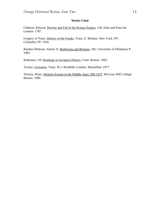#### **Works Cited**

Gibbons, Edward. Decline and Fall of the Roman Empire. J.M. Dent and Sons ltd: London: 1787.

Gregory of Tours. History of the Franks. Trans. E. Brehaut. New York, NY: Columbia UP: 1916.

Randers-Pehrson, Justine D. Barbarians and Romans. OK: University of Oklahoma P: 1983.

Robinson, J.H. Readings in European History. Ginn: Boston: 1905.

Tacitus. Germania. Trans. W.J. Brodribb. London: Macmillan: 1977.

Tierney, Brian. Western Europe in the Middle Ages: 300-1475. McGraw-Hill College: Boston: 1999.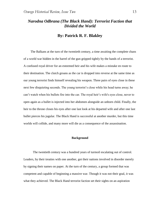# *Narodna Odbrana (The Black Hand): Terrorist Faction that Divided the World*

## **By: Patrick R. F. Blakley**

 The Balkans at the turn of the twentieth century, a time awaiting the complete chaos of a world war hidden in the barrel of the gun gripped tightly by the hands of a terrorist. A confused royal driver for an esteemed heir and his wife makes a mistake en route to their destination. The clutch groans as the car is dropped into reverse at the same time as our young terrorist finds himself revealing his weapon. Three pairs of eyes close in these next few disquieting seconds. The young terrorist's close while his head turns away; he can"t watch when his bullets fire into the car. The royal heir"s wife's eyes close, never to open again as a bullet is injected into her abdomen alongside an unborn child. Finally, the heir to the throne closes his eyes after one last look at his departed wife and after one last bullet pierces his jugular. The Black Hand is successful at another murder, but this time worlds will collide, and many more will die as a consequence of the assassination.

#### **Background**

The twentieth century was a hundred years of turmoil escalating out of control. Leaders, by their treaties with one another, got their nations involved in disorder merely by signing their names on paper. At the turn of the century, a group formed that was competent and capable of beginning a massive war. Though it was not their goal, it was what they achieved. The Black Hand terrorist faction set their sights on an aspiration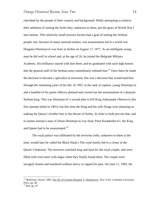cherished by the people of their country and background. While attempting to achieve their ambition of uniting the Serbs they, unknown to them, put the gears of World War I into motion. This relatively small terrorist faction had a goal of uniting the Serbian people; but, because of many national treaties, one assassination led to a world war. Dragutin Dimitrijević was born in Serbia on August 17, 1877. As an intelligent young man he did well in school and, at the age of 16, he joined the Belgrade Military Academy. His brilliance stayed with him there, and he graduated with such high honors that the general staff of the Serbian army immediately enlisted him.<sup>13</sup> Once there he made the decision to become a specialist in terrorism; this was a decision that would lead him through the remaining years of his life. In 1903, at the rank of captain, young Dimitrijević and a handful of his junior officers planned and carried out the assassination of a despotic Serbian king. This was Dimitrijević"s second plan to kill King Aleksandar Obrenović (his first attempt failed in 1901); but this time the King and his wife Draga were planning on making the Queen"s brother heir to the throne of Serbia. In order to both prevent that, and to instate instead a man of whom Dimitrijević was fond, Petar Karađorđević1, the King and Queen had to be assassinated.<sup>14</sup>

 The royal palace was infiltrated by the terrorists (who, unknown to them at the time, would later be called the Black Hand.) The royal family hid in a closet in the Queen"s bedroom. The terrorists searched long and hard for the royal couple, and were filled with even more with anger when they finally found them. The couple were savagely beaten and murdered without mercy or regard for pain. On June 11, 1903, the

<sup>&</sup>lt;sup>13</sup> McKenzie, David. 1989. The life of Colonel Dragutin T. Dimitrijević. New York: Columbia University Press. pp. 48  $14$  Ibid. pp. 97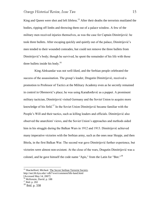King and Queen were shot and left lifeless.<sup>15</sup> After their deaths the terrorists mutilated the bodies, ripping off limbs and throwing them out of a palace window. A few of the military men received injuries themselves, as was the case for Captain Dimitrijević: he took three bullets. After escaping quickly and quietly out of the palace, Dimitrijević"s men tended to their wounded comrades, but could not remove the three bullets from Dimitrijević"s body; though he survived, he spent the remainder of his life with those three bullets inside his body.<sup>16</sup>

 King Aleksandar was not well-liked, and the Serbian people celebrated the success of the assassination. The group"s leader, Dragutin Dimitrijević, received a promotion to Professor of Tactics at the Military Academy even as he secretly remained in control in Obrenović"s place; he was using Karađorđević as a puppet. A prominent military tactician, Dimitrijević visited Germany and the Soviet Union to acquire more knowledge of his field.<sup>17</sup> In the Soviet Union Dimitrijević became familiar with the People"s Will and their tactics, such as killing leaders and officials. Dimitrijević also observed the anarchists' views, and the Soviet Union"s approaches and methods aided him in his struggle during the Balkan Wars in 1912 and 1913. Dimitrijević achieved many imperative victories with the Serbian army, such as the ones near Skopje, and then Bitola, in the first Balkan War. The second war gave Dimitrijević further experience, but victories were almost non-existent. At the close of the wars, Dragutin Dimitrijević was a colonel, and he gave himself the code name "Apis," from the Latin for "Bee."<sup>18</sup>

<sup>&</sup>lt;sup>15</sup> Shackelford, Micheal. The Secret Serbian Terrorist Society.

http://net.lib.byu.edu/~rdh7/wwi/comment/blk-hand.html

<sup>[</sup>Accessed May 14, 2007]

<sup>&</sup>lt;sup>16</sup> McKenzie, David. p. 188

 $17$  Ibid. p. 202

<sup>18</sup> Ibid. p. 338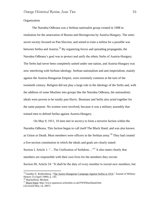#### **Organization**

 The Narodna Odbrana was a Serbian nationalist group created in 1908 in retaliation for the annexation of Bosnia and Herzegovina by Austria-Hungary. The semisecret society focused on Pan-Slavism, and aimed to train a militia for a possible war between Serbia and Austria.<sup>19</sup> By organizing forces and spreading propaganda, the Narodna Odbrana"s goal was to protect and unify the ethnic Serbs of Austria-Hungary. The Serbs had never been completely united under one nation, and Austria-Hungary was now interfering with Serbian ideology. Serbian nationalism and anti-imperialism, mainly against the Austria-Hungarian Empire, were extremely common at the turn of the twentieth century. Religion did not play a large role in the ideology of the Serbs and, with the addition of some Muslims into groups like the Narodna Odbrana, the nationalistic ideals were proven to be totally pan-Slavic. Bosnians and Serbs also acted together for the same purpose. No women were involved, because it was a military assembly that trained men to defend Serbia against Austria-Hungary.

 On May 9, 1911, 10 men met in secrecy to form a terrorist faction within the Narodna Odbrana. This faction began to call itself The Black Hand, and was also known as Union or Death. Most members were officers in the Serbian army.<sup>20</sup> They had created a five-section constitution in which the ideals and goals are clearly stated: Section I, Article 1: "...The Unification of Serbdom..."<sup>21</sup> It also states clearly that members are responsible with their own lives for the members they recruit: Section III, Article 24: "It shall be the duty of every member to recruit new members, but

<sup>&</sup>lt;sup>19</sup> Gunther E. Rothernberg, "The Austro-Hungarian Campaign Against Serbia in 1914," Journal of Military History 53 (April 1989): p. 145.

<sup>&</sup>lt;sup>20</sup> Shackelford, Micheal.

<sup>&</sup>lt;sup>21</sup> Black Hand. http://www.spartacus.schoolnet.co.uk/FWWblackhand.htm [Accessed May 14, 2007]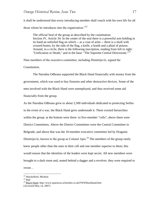it shall be understood that every introducing member shall vouch with his own life for all those whom he introduces into the organization."<sup>22</sup>

The official Seal of the group as described by the constitution: Section IV, Article 34: In the center of the seal there is a powerful arm holding in its hand an unfurled flag on which -- as a coat of arms -- there is a skull with crossed bones; by the side of the flag, a knife, a bomb and a phial of poison. Around, in a circle, there is the following inscription, reading from left to right: "Unification or Death," and in the base: "The Supreme Central Directorate."<sup>23</sup>

Nine members of the executive committee, including Dimitrijević, signed the Constitution.

The Narodna Odbrana supported the Black Hand financially with money from the government, which was used to buy firearms and other destructive devices. Some of the men involved with the Black Hand were unemployed, and thus received some aid financially from the group.

As the Narodna Odbrana grew to about 2,500 individuals dedicated to protecting Serbia in the event of a war, the Black Hand grew underneath it. There existed hierarchies within the group: at the bottom were three- to five-member "cells"; above them were District Committees. Above the District Committees were the Central Committee in Belgrade, and above that was the 10-member executive committee led by Dragutin Dimitrijević, known to the group as Colonel Apis.<sup>24</sup> The members of the group rarely knew people other than the ones in their cell and one member superior to them; this would ensure that the identities of the leaders were kept secret. All new members were brought to a dark room and, seated behind a dagger and a revolver, they were required to swear…

<sup>&</sup>lt;sup>22</sup> Shackelford, Micheal.

 $23$  Ibid.

 $^{24}$  Black Hand. http://www.spartacus.schoolnet.co.uk/FWWblackhand.htm [Accessed May 14, 2007]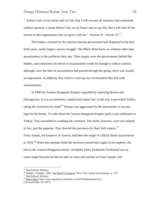"...before God, on my honor and my life, that I will execute all missions and commands without question. I swear before God, on my honor and on my life, that I will take all the secrets of this organization into my grave with me." -Section IV, Article  $35.^{25}$ 

 The leaders, irritated by the inaction that the government had displayed in the Pan-Serb cause, rashly began a power struggle. The Black Hand knew no solution other than assassination to the problems they saw. Their targets were the governments behind the leaders, and sometimes the threat of assassination would be enough to induce caution; although, once the idea of assassination had passed through the group, there was usually no negotiation. In addition, they tried to cover up any involvement they had with assassinations.

 In 1908 the Austria-Hungarian Empire expanded by annexing Bosnia and Herzegovina. It was an extremely complicated matter but, in the end, it prevented Turkey taking the territories for itself.<sup>26</sup> Europe was aggravated by the annexation; it was not legal by the books. To calm them the Austria-Hungarian Empire paid a cash settlement to Turkey. This succeeded in soothing the continent. The Serbs, however, were not calmed; in fact, just the opposite. They desired the provinces for their Serb empire.<sup>27</sup> Franz Joseph, the Emperor of Austria, had been the target of a Black Hand assassination in 1910.<sup>28</sup> When this attempt failed the terrorists turned their sights to his nephew, the heir to the Austria-Hungarian throne, Archduke Franz Ferdinand. Ferdinand was an easier target because he did not take as many precautions as Franz Joseph, and

<sup>&</sup>lt;sup>25</sup> Shackelford, Micheal.

<sup>&</sup>lt;sup>26</sup> Dedijer, Vladimir. 1966. The Road to Sarajevo. New York: Simon and Schuster. p. 128

<sup>&</sup>lt;sup>27</sup> Shackelford, Micheal.

<sup>28</sup> Black Hand. http://www.spartacus.schoolnet.co.uk/FWWblackhand.htm

<sup>[</sup>Accessed May 14, 2007]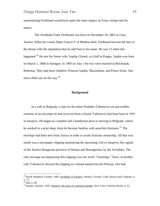assassinating Ferdinand would have quite the same impact on Franz Joseph and his nation.

 The Archduke Franz Ferdinand was born on December 18, 1863 in Graz, Austria. When his cousin Duke Francis V of Modena died, Ferdinand became the heir to the throne with the stipulation that he add Este to his name. He was 12 when this happened.<sup>29</sup> He met his future wife, Sophie Chotek, at a ball in Prague. Sophie was born on March 1, 1868 in Stuttgart. In 1900 on July 1 the two were married at Reichstadt, Bohemia. They had three children: Princess Sophie, Maximilian, and Prince Ernst. One more child was on the way. $30<sup>30</sup>$ 

#### **Background**

 In a café in Belgrade, a man by the name Nedeljko Čabrinović sat and readthe contents of an envelope he had received from a friend. Čabrinović had been born in 1895 in Sarajevo. He began as a student and a handyman prior to moving to Belgrade, where he worked in a print shop; there he became familiar with anarchist literature.<sup>31</sup> The envelope had been sent from Zenica in order to avoid Austrian censorship. All that was inside was a newspaper clipping announcing the upcoming visit to Sarajevo, the capital of the Austria-Hungarian province of Bosnia and Herzegovina, by the Archduke. The only message accompanying this clipping was one word: "Greetings." Soon, in another café, Čabrinović showed the clipping to a friend named Gavrilo Princip, who had

<sup>&</sup>lt;sup>29</sup> Brook Shepherd, Gordon. 1984. Archduke of Sarajevo. Boston, Toronto: Little, Brown and Company. p. 5, 13

 $30$  Ibid. p. 98

 $31$  Remak, Joachim. 1959. Sarajevo: the story of a political murder. New York: Criterion Books. p. 62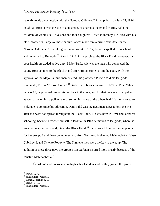recently made a connection with the Narodna Odbrana.<sup>32</sup> Princip, born on July 25, 1894 in Obljaj, Bosnia, was the son of a postman. His parents, Peter and Marija, had nine children, of whom six -- five sons and four daughters -- died in infancy. He lived with his older brother in Sarajevo; these circumstances made him a prime candidate for the Narodna Odbrana. After taking part in a protest in 1912, he was expelled from school, and he moved to Belgrade.<sup>33</sup> Also in 1912, Princip joined the Black Hand; however, his poor health precluded active duty. Major Tankosvić was the man who connected the young Bosnian men to the Black Hand after Princip came to join the coup. With the approval of the Major, a third man entered this plot when Princip told his Belgrade roommate, Trifun "Trifko" Grabež.<sup>34</sup> Grabež was born sometime in 1895 in Pale. When he was 17, he punched one of his teachers in the face, and for that he was also expelled, as well as receiving a police record, something none of the others had. He then moved to Belgrade to continue his education. Danilo Ilić was the next man eager to join the trio after the news had spread throughout the Black Hand. Ilić was born in 1891 and, after his schooling, became a teacher himself in Bosnia. In 1913 he moved to Belgrade, where he grew to be a journalist and joined the Black Hand.<sup>35</sup> Ilić, allowed to recruit more people for the group, found three young men also from Sarajevo: Muhamed Mehmedbašić, Vaso Čubrilović, and Cvjetko Popović. The Sarajevo men were the key to the coup. The addition of these three gave the group a less Serbian-inspired look, mostly because of the Muslim Mehmedbašić.<sup>36</sup>

Čubrilović and Popović were high school students when they joined the group.

 $32$  Ibid. p. 62-63

<sup>&</sup>lt;sup>33</sup> Shackelford, Micheal.

<sup>&</sup>lt;sup>34</sup> Remak, Joachim p. 60

 $35$  Ibid. p.  $54-55$ 

<sup>&</sup>lt;sup>36</sup> Shackelford, Micheal.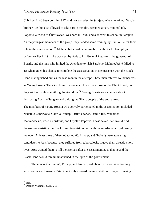Čubrilović had been born in 1897, and was a student in Sarajevo when he joined. Vaso"s brother, Veljko, also allowed to take part in the plot, received a very minimal job. Popović, a friend of Čubrilović's, was born in 1896, and also went to school in Sarajevo. As the youngest members of the group, they needed some training by Danilo Ilić for their role in the assassination.<sup>37</sup> Mehmedbašić had been involved with Black Hand ploys before; earlier in 1914, he was sent by Apis to kill General Potoirek – the governor of Bosnia, and the man who invited the Archduke to visit Sarajevo. Mehmedbašić failed to act when given his chance to complete the assassination. His experience with the Black Hand distinguished him as the lead man in the attempt. These men referred to themselves as Young Bosnia. Their ideals were more anarchistic than those of the Black Hand, but they set their sights on killing the Archduke.<sup>38</sup> Young Bosnia was adamant about destroying Austria-Hungary and uniting the Slavic people of the entire area. The members of Young Bosnia who actively participated in the assassination included Nedeljko Čabrinović, Gavrilo Princip, Trifko Grabež, Danilo Ilić, Muhamed Mehmedbašić, Vaso Čubrilović, and Cvjetko Popović. These seven men would find themselves assisting the Black Hand terrorist faction with the murder of a royal family member. At least three of them (Čabrinović, Princip, and Grabež) were appealing candidates to Apis because they suffered from tuberculosis; it gave them already-short lives. Apis wanted them to kill themselves after the assassination, so that he and the Black Hand would remain unattached in the eyes of the government.

 Three men, Čabrinović, Princip, and Grabež, had about two months of training with bombs and firearms. Princip not only showed the most skill in firing a Browning

 $\overline{a}$  $37$  Ibid.

<sup>38</sup> Dedijer, Vladimir. p. 217-218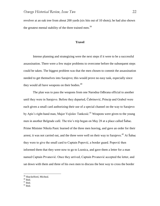revolver at an oak tree from about 200 yards (six hits out of 10 shots); he had also shown the greatest mental stability of the three trained men.<sup>39</sup>

#### **Travel**

 Intense planning and strategizing were the next steps if it were to be a successful assassination. There were a few major problems to overcome before the subsequent steps could be taken. The biggest problem was that the men chosen to commit the assassination needed to get themselves into Sarajevo; this would prove no easy task, especially since they would all have weapons on their bodies. $40$ 

 The plan was to pass the weapons from one Narodna Odbrana official to another until they were in Sarajevo. Before they departed, Čabrinović, Princip and Grabež were each given a small card authorizing their use of a special channel on the way to Sarajevo by Apis's right-hand man, Major Vojislav Tankosić.<sup>41</sup> Weapons were given to the young men in another Belgrade café. The trio's trip began on May 28 at a place called Šabac. Prime Minister Nikola Pasic learned of the three men leaving, and gave an order for their arrest; it was not carried out, and the three were well on their way to Sarajevo.<sup>42</sup> At Šabac they were to give the small card to Captain Popović, a border guard. Popović then informed them that they were now to go to Loznica, and gave them a letter for a man named Captain Prvanović. Once they arrived, Captain Prvanović accepted the letter, and sat down with them and three of his own men to discuss the best way to cross the border

<sup>&</sup>lt;sup>39</sup> Shackelford, Micheal.

 $40$  Ibid.

 $41$  Ibid.

 $42$  Ibid.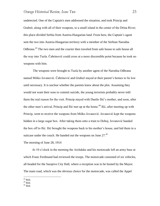undetected. One of the Captain's men addressed the situation, and took Princip and Grabež, along with all of their weapons, to a small island in the center of the Drina River; this place divided Serbia from Austria-Hungarian land. From here, the Captain"s agent sent the two into Austria-Hungarian territory with a member of the Serbian Narodna Odbrana.<sup>43</sup> The two men and the courier then traveled from safe house to safe house all the way into Tuzla. Čabrinović could cross at a more discernible point because he took no weapons with him.

 The weapons were brought to Tuzla by another agent of the Narodna Odbrana named Miško Jovanović. Čabrinović and Grabež stayed at their parent"s homes to lie low until necessary. It is unclear whether the parents knew about the plot. Assuming they would not want their sons to commit suicide, the young terrorists probably never told them the real reason for the visit. Princip stayed with Danilo Ilić"s mother, and soon, after the other men's arrival, Princip and Ilić met up at the home.<sup>44</sup> Ilić, after meeting up with Princip, went to receive the weapons from Miško Jovanović. Jovanović kept the weapons hidden in a large sugar box. After taking them onto a train to Doboj, Jovanović handed the box off to Ilić. Ilić brought the weapons back to his mother"s house, and hid them in a suitcase under the couch. He handed out the weapons on June 27.<sup>45</sup>

The morning of June 28, 1914

 At 10 o"clock in the morning the Archduke and his motorcade left an army base at which Franz Ferdinand had reviewed the troops. The motorcade consisted of six vehicles, all headed for the Sarajevo City Hall, where a reception was to be hosted by the Mayor. The main road, which was the obvious choice for the motorcade, was called the Appel

 $\overline{a}$  $43$  Ibid.

 $44$  Ibid.

 $45$  Ibid.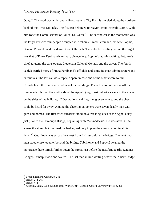Quay.<sup>46</sup> This road was wide, and a direct route to City Hall. It traveled along the northern bank of the River Miljacka. The first car belonged to Mayor Fehim Effendi Curcic. With him rode the Commissioner of Police, Dr. Gerde.<sup>47</sup> The second car in the motorcade was the target vehicle; four people occupied it: Archduke Franz Ferdinand, his wife Sophie, General Potoirek, and the driver, Count Harrach. The vehicle traveling behind the target was that of Franz Ferdinand's military chancellery, Sophie"s lady-in-waiting, Potoirek"s chief adjutant, the car's owner, Lieutenant Colonel Merizzi, and the driver. The fourth vehicle carried more of Franz Ferdinand"s officials and some Bosnian administrators and executives. The last car was empty, a spare in case one of the others were to fail. Crowds lined the road and windows of the buildings. The reflection of the sun off the river made it hot on the south side of the Appel Quay; most onlookers were in the shade on the sides of the buildings.<sup>48</sup> Decorations and flags hung everywhere, and the cheers could be heard far away. Among the cheering onlookers were seven deadly men with guns and bombs. The first three terrorists stood on alternating sides of the Appel Quay just prior to the Cumburja Bridge, beginning with Mehmedbašić. Ilić was next in line across the street, but unarmed; he had agreed only to plan the assassination in all its detail.<sup>49</sup> Čubrilović was across the street from Ilić just before the bridge. The next two men stood close together beyond the bridge. Čabrinović and Popović awaited the motorcade there. Much further down the street, just before the next bridge (the Lateiner Bridge), Princip stood and waited. The last man in line waiting before the Kaiser Bridge

<sup>&</sup>lt;sup>46</sup> Brook Shepherd, Gordon. p. 243

 $47$  Ibid. p. 244-245

<sup>48</sup> Ibid. p. 444

 $^{49}$  Albertini, Luigi. 1953. Origins of the War of 1914. London: Oxford University Press. p. 380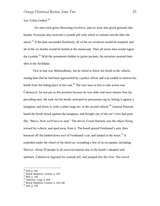was Trifun Grabež.<sup>50</sup>

 Six men were given Browning revolvers, and six were also given grenade-like bombs. Everyone also received a cyanide pill with which to commit suicide after the attack.<sup>51</sup> If the plan succeeded flawlessly, all of the six revolvers would be emptied, and all of the six bombs would be hurled at the motorcade. Then all seven men would ingest the cyanide.<sup>52</sup> With the armaments hidden in jacket pockets, the terrorists awaited their shot at the Archduke.

 First in line was Mehmedbašić, but he failed to throw his bomb at the vehicle, stating later that he had been approached by a police officer and was unable to remove his bomb from the hiding place in his coat.<sup>53</sup> The next man in line to take action was Čabrinović; he was put in this position because he was older and more mature than the preceding men. He took out his bomb, activated its percussion cap by hitting it against a lamppost, and threw it, with a rather large arc, at the second vehicle.<sup>54</sup> General Potoirek heard the bomb struck against the lamppost, and thought one of the car's tires had gone flat: "Bravo. Now we'll have to stop." The driver, Count Harrach, saw the object flying toward his vehicle, and sped away from it. The bomb grazed Ferdinand"s arm, then bounced off the folded-down roof of Ferdinand's car, and landed in the street.<sup>55</sup> It exploded under the wheel of the third car, wounding a few of its occupants, including Merizzi. About 20 people in all received injuries due to the bomb"s shrapnel and splinters. Čabrinović ingested his cyanide pill, and jumped into the river. The crowd

<sup>50</sup> Ibid. p. 382

<sup>51</sup> Brook Shepherd, Gordon. p. 220

<sup>52</sup> Ibid. p. 244

 $53$  Albertini, Luigi. p. 409

<sup>54</sup> Brook Shepherd, Gordon. p. 245-246

 $55$  Ibid. p. 246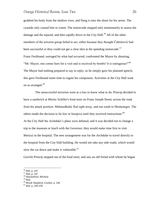grabbed his body from the shallow river, and flung it onto the shore for his arrest. The cyanide only caused him to vomit. The motorcade stopped only momentarily to assess the damage and the injured, and then rapidly drove to the City Hall.<sup>56</sup> All of the other members of the terrorist group failed to act, either because they thought Čabrinović had been successful or they could not get a clear shot at the speeding motorcade.<sup>57</sup> Franz Ferdinand, outraged by what had occurred, confronted the Mayor by shouting, "Mr. Mayor, one comes here for a visit and is received by bombs! It is outrageous!"<sup>58</sup> The Mayor had nothing prepared to say in reply, so he simply gave his planned speech; this gave Ferdinand some time to regain his composure. Activities at the City Hall went on as arranged.<sup>59</sup>

 The unsuccessful terrorists were at a loss to know what to do. Princip decided to have a sandwich at Moritz Schiller's food store on Franz Joseph Street, across the road from his attack position. Mehmedbašić fled right away, and ran south to Montenegro. The others made the decision to lie low in Sarajevo until they received instructions.<sup>60</sup> At the City Hall the Archduke"s plans were debated, and it was decided not to change a trip to the museum or lunch with the Governor; they would make time first to visit Merizzi in the hospital. The new arrangement was for the Archduke to travel directly to the hospital from the City Hall building. He would not take any side roads, which would slow the car down and make it vulnerable.<sup>61</sup>

Gavrilo Princip stepped out of the food store, and saw an old friend with whom he began

<sup>56</sup> Ibid. p. 247

 $57$  Ibid. p. 247

<sup>&</sup>lt;sup>58</sup> Shackelford, Micheal.

 $59$  Ibid.

<sup>60</sup> Brook Shepherd, Gordon. p. 246

 $61$  Ibid. p. 249-250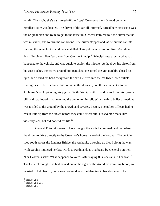to talk. The Archduke"s car turned off the Appel Quay onto the side road on which Schiller's store was located. The driver of the car, ill informed, turned here because it was the original plan and route to get to the museum. General Potoirek told the driver that he was mistaken, and to turn the car around. The driver stopped and, as he put the car into reverse, the gears locked and the car stalled. This put the now immobilized Archduke Franz Ferdinand five feet away from Gavrilo Princip.<sup>62</sup> Princip knew exactly what had happened to the vehicle, and was quick to exploit the mistake. As he drew his pistol from his coat pocket, the crowd around him panicked. He aimed the gun quickly, closed his eyes, and turned his head away from the car. He fired into the car twice, both bullets finding flesh. The first bullet hit Sophie in the stomach, and the second cut into the Archduke"s neck, piercing his jugular. With Princip"s other hand he took out his cyanide pill, and swallowed it as he turned the gun onto himself. With the third bullet primed, he was tackled to the ground by the crowd, and severely beaten. The police officers had to rescue Princip from the crowd before they could arrest him. His cyanide made him violently sick, but did not end his life.<sup>63</sup>

 General Potoirek seems to have thought the shots had missed, and he ordered the driver to drive directly to the Governor"s home instead of the hospital. The vehicle sped south across the Lateiner Bridge, the Archduke throwing up blood along the way, while Sophie muttered her last words to Ferdinand, as overheard by General Potoirek: "For Heaven's sake! What happened to you?" After saying this, she sank in her seat.  $64$ The General thought she had passed out at the sight of the Archduke vomiting blood, so he tried to help her up, but it was useless due to the bleeding in her abdomen. The

<sup>62</sup> Ibid. p. 250

 $63$  Ibid. p. 250-251

 $64$  Ibid. p. 251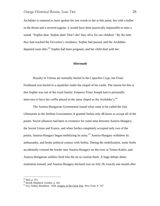Archduke is rumored to have spoken his last words to her at this point, but with a bullet in the throat and a severed jugular, it would have been practically impossible to utter a sound. "Sophie dear, Sophie dear! Don"t die! Stay alive for our children." By the time they had reached the Governor"s residence, Sophie had passed, and the Archduke departed soon after.<sup>65</sup> Sophie had been pregnant, and her child died with her.

#### **Aftermath**

Royalty in Vienna are normally buried in the Capuchin Crypt, but Franz Ferdinand was buried in a sepulcher under the chapel of his castle. The reason for this is that Sophie was not of the royal family; Emperor Franz Joseph had to personally intervene to have her coffin placed in the same chapel as the Archduke's. $^{66}$ 

The Austria-Hungarian Government issued what came to be called the July Ultimatum to the Serbian Government. It granted Serbia only 48 hours to accept all of the points. Secret alliances had been in existence for some time between Austria-Hungary, the Soviet Union and France, and when Serbia completely accepted only two of the points, Austria-Hungary began mobilizing its army.<sup>67</sup> Austria-Hungary withdrew its ambassador, and broke political contact with Serbia. During the mobilization, some Serbs accidentally crossed the border into Austria-Hungary on the river at Temes-Kubin, and Austria-Hungarian soldiers fired into the air to caution them. A huge debate about retaliation ensued, and Austria-Hungary declared war on July 28, exactly one month after

<sup>65</sup> Ibid. p. 251

<sup>66</sup> Brook Shepherd, Gordon. p. 262

 $67$  Fay, Sidney Bradshaw. 1928. Origins of the Great War. New York. P. 327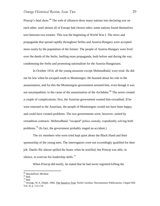Princip's fatal shots.<sup>68</sup> The web of alliances drew many nations into declaring war on each other, until almost all of Europe had chosen sides; some nations found themselves torn between two treaties. This was the beginning of World War I. The news and propaganda that spread rapidly throughout Serbia and Austria-Hungary were accepted more easily by the population of the former. The people of Austria-Hungary were livid over the deeds of the Serbs, fuelling more propaganda, both before and during the war, condemning the Serbs and promoting nationalism for the Austria-Hungarians.

In October 1914, all the young assassins except Mehmedbašić were tried. He did not lie low when he escaped south to Montenegro. He boasted about his role in the assassination, and for this the Montenegrin government arrested him, even though it was not unsympathetic to the cause of the assassination of the Archduke.<sup>69</sup> The arrest created a couple of complications: first, the Austrian government wanted him extradited. If he were returned to the Austrians, the people of Montenegrin would not have been happy, and could have created problems. The two governments were, however, united by extradition contracts. Mehmedbašić "escaped" police custody, expediently solving both problems.<sup>70</sup> (In fact, the government probably staged an accident.)

The six members who were tried kept quiet about the Black Hand and their sponsorship of the young men. The interrogators were not exceedingly qualified for their job. Danilo Ilić almost spilled the beans when he testified, but Princip was able, in silence, to exercise his leadership skills. $^{71}$ 

When Princip did testify, he stated that he had never regretted killing the

<sup>&</sup>lt;sup>68</sup> Shackelford, Micheal.

 $69$  Ibid.

 $70$  Ibid.

 $71$  Owings, W.A. Dolph. 1984. The Sarajevo Trial. North Carolina: Documentary Publications, Chapel Hill. Vol. II, p. 113-114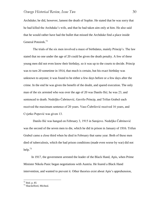Archduke; he did, however, lament the death of Sophie. He stated that he was sorry that he had killed the Archduke"s wife, and that he had taken aim only at him. He also said that he would rather have had the bullet that missed the Archduke find a place inside General Potoirek.<sup>72</sup>

The trials of the six men involved a maze of birthdates, mainly Princip"s. The law stated that no one under the age of 20 could be given the death penalty. A few of these young men did not even know their birthday, so it was up to the courts to decide. Princip was to turn 20 sometime in 1914, that much is certain, but his exact birthday was unknown to anyone; it was found to be either a few days before or a few days after the crime. In the end he was given the benefit of the doubt, and spared execution. The only man of the six arrested who was over the age of 20 was Danilo Ilić; he was 23, and sentenced to death. Nedeljko Čabrinović, Gavrilo Princip, and Trifun Grabež each received the maximum sentence of 20 years. Vaso Čubrilović received 16 years, and Cvjetko Popović was given 13.

Danilo Ilić was hanged on February 3, 1915 in Sarajevo. Nedeljko Čabrinović was the second of the seven men to die, which he did in prison in January of 1916. Trifun Grabež came a close third when he died in February that same year. Both of these men died of tuberculosis, which the bad prison conditions (made even worse by war) did not help. $^{73}$ 

 In 1917, the government arrested the leader of the Black Hand, Apis, when Prime Minister Nikola Pasic began negotiations with Austria. He feared a Black Hand intervention, and wanted to prevent it. Other theories exist about Apis"s apprehension,

 $72$  Ibid. p. 85

<sup>73</sup> Shackelford, Micheal.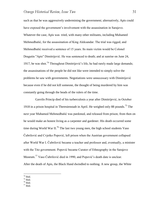such as that he was aggressively undermining the government; alternatively, Apis could have exposed the government's involvement with the assassination in Sarajevo. Whatever the case, Apis was tried, with many other militants, including Muhamed Mehmedbašić, for the assassination of King Aleksandar. The trial was rigged, and Mehmedbašić received a sentence of 15 years. Its main victim would be Colonel Dragutin "Apis" Dimitrijević. He was sentenced to death; and at sunrise on June 24, 1917, he was shot.<sup>74</sup> Throughout Dimitrijević's life, he had rarely made large demands; the assassinations of the people he did not like were intended to simply solve the problems he saw with governments. Negotiations were unnecessary with Dimitrijević because even if he did not kill someone, the thought of being murdered by him was constantly going through the heads of the rulers of the time.

 Gavrilo Princip died of his turberculosis a year after Dimitrijević, in October 1918 in a prison hospital in Theresienstadt in April. He weighed only 88 pounds.<sup>75</sup> The next year Muhamed Mehmedbašić was pardoned, and released from prison; from then on he would make an honest living as a carpenter and gardener. His death occurred some time during World War II.<sup>76</sup> The last two young men, the high school students Vaso Čubrilović and Cvjetko Popović, left prison when the Austrian government collapsed after World War I. Čubrilović became a teacher and professor and, eventually, a minister with the Tito government. Popović became Curator of Ethnography in the Sarajevo Museum.<sup>77</sup> Vaso Čubrilović died in 1990, and Popović's death date is unclear. After the death of Apis, the Black Hand dwindled to nothing. A new group, the White

 $\overline{a}$ 

 $77$  Ibid.

 $74$  Ibid.

 $75$  Ibid.

<sup>76</sup> Ibid.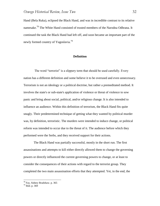Hand (Bela Ruka), eclipsed the Black Hand, and was in incredible contrast to its relative namesake.<sup>78</sup> The White Hand consisted of trusted members of the Narodna Odbrana. It continued the task the Black Hand had left off, and soon became an important part of the newly formed country of Yugoslavia.<sup>79</sup>

#### **Definition**

 The word "terrorist" is a slippery term that should be used carefully. Every nation has a different definition and some believe it to be overused and even unnecessary. Terrorism is not an ideology or a political doctrine, but rather a premeditated method. It involves the state's or sub-state's application of violence or threat of violence to sow panic and bring about social, political, and/or religious change. It is also intended to influence an audience. Within this definition of terrorism, the Black Hand fits quite snugly. Their predetermined technique of getting what they wanted by political murder was, by definition, terroristic. The murders were intended to induce change, or political reform was intended to occur due to the threat of it. The audience before which they performed were the Serbs, and they received support for their actions.

 The Black Hand was partially successful, mostly in the short run. The first assassinations and attempts to kill either directly allowed them to change the governing powers or directly influenced the current governing powers to change, or at least to consider the consequences of their actions with regard to the terrorist group. They completed the two main assassination efforts that they attempted. Yet, in the end, the

<sup>&</sup>lt;sup>78</sup> Fay, Sidney Bradshaw. p. 365

 $79$  Ibid. p. 369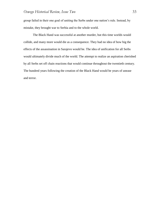group failed in their one goal of uniting the Serbs under one nation"s rule. Instead, by mistake, they brought war to Serbia and to the whole world.

 The Black Hand was successful at another murder, but this time worlds would collide, and many more would die as a consequence. They had no idea of how big the effects of the assassination in Sarajevo would be. The idea of unification for all Serbs would ultimately divide much of the world. The attempt to realize an aspiration cherished by all Serbs set off chain reactions that would continue throughout the twentieth century. The hundred years following the creation of the Black Hand would be years of unease and terror.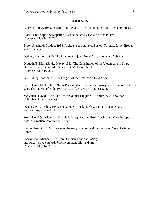#### **Works Cited**

Albertini, Luigi. 1953. Origins of the War of 1914. London: Oxford University Press.

Black Hand. http://www.spartacus.schoolnet.co.uk/FWWblackhand.htm [Accessed May 14, 2007]

Brook Shepherd, Gordon. 1984. Archduke of Sarajevo. Boston, Toronto: Little, Brown and Company.

Dedijer, Vladimir. 1966. The Road to Sarajevo. New York: Simon and Schuster.

Dragutin T. Dimitrijevic. May 9, 1911. The Constitution of the Ujedinjenje ili Smrt. http://net.lib.byu.edu/~rdh7/wwi/1914m/blk-cons.html [Accessed May 16, 2007.]

Fay, Sidney Bradshaw. 1928. Origins of the Great War. New York.

Lyon, James M.B. July, 1997. A Peasant Mob: The Serbian Army on the Eve of the Great War. The Journal of Military History, Vol. 61, No. 3. pp. 481-502.

McKenzie, David. 1989. The life of Colonel Dragutin T. Dimitrijevic. New York: Columbia University Press.

Owings, W.A. Dolph. 1984. The Sarajevo Trial. North Carolina: Documentary Publications, Chapel Hill.

Pozzi, Henri (translated by Francis J. Mott). Reprint 1994. Black Hand Over Europe. Zagreb: Croatian Information Center.

Remak, Joachim. 1959. Sarajevo: the story of a political murder. New York: Criterion Books.

Shackelford, Micheal. The Secret Serbian Terrorist Society. http://net.lib.byu.edu/~rdh7/wwi/comment/blk-hand.html [Accessed May 14, 2007]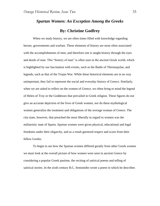# *Spartan Women: An Exception Among the Greeks* **By: Christine Godfrey**

When we study history, we are often times filled with knowledge regarding heroes, governments and warfare. These elements of history are most often associated with the accomplishments of men, and therefore one is taught history through the eyes and deeds of man. This "history of man" is often seen in the ancient Greek world, which is highlighted by our fascination with events, such as the Battle of Thermopylae, and legends, such as that of the Trojan War. While these historical elements are in no way unimportant, they fail to represent the social and everyday history of Greece. Similarly, when we are asked to reflect on the women of Greece, we often bring to mind the legend of Helen of Troy or the Goddesses that prevailed in Greek religion. These figures do not give an accurate depiction of the lives of Greek women, nor do these mythological women generalize the treatment and obligations of the average woman of Greece. The city-state, however, that preached the most liberally in regard to women was the militaristic state of Sparta. Spartan women were given physical, educational and legal freedoms under their oligarchy, and as a result garnered respect and scorn from their fellow Greeks.

To begin to see how the Spartan women differed greatly from other Greek women we must look at the overall picture of how women were seen in ancient Greece by considering a popular Greek pastime, the reciting of satirical poems and telling of satirical stories. In the sixth century B.C, Semonides wrote a poem in which he describes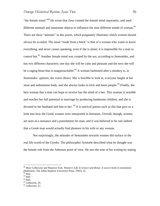"the female mind."<sup>80</sup> He wrote that Zeus created the female mind separately, and used different animals and inanimate objects to influence the nine different minds of woman.<sup>81</sup> There are three "animals" in this poem, which poignantly illustrates which women should always be avoided. The mind "made from a bitch" is that of a woman who wants to know everything, and never ceases speaking, even if she is alone; it is impossible for a man to control her.<sup>82</sup> Another female mind was created by the sea, according to Semonides, and has two different characters; one day she will be calm and pleasant and the next she will be a raging beast that is unapproachable.<sup>83</sup> A woman fashioned after a monkey is, in Semonides' opinion, the worst choice. She is horrible to look at, everyone laughs at her stout and unfeminine body, and she always looks to trick and harm people.<sup>84</sup> Finally, the best woman that a man can hope to receive has the mind of a bee. This woman is sensible and reaches her full potential in marriage by producing handsome children, and she is devoted to her husband and him to her. <sup>85</sup> It is satirical poems such as this that give us a look into how the Greek women were interpreted in literature. Overall, though, women are seen as a nuisance and a punishment for man, and it was believed to be rare indeed that a Greek man would actually find pleasure in his wife or any woman.

Not surprisingly, the attitudes of Semonides towards women did surface in the real life world of the Greeks. The philosopher Aristotle described what he thought was the female role from the Athenian point of view. He sets the tone of his writing by stating

 $\overline{a}$ 

 $85$  Lefkowitz, 27.

<sup>80</sup> Mary Lefkowitz and Maureen Fant, *Women's Life in Greece and Rome: A source book in translation* (Baltimore: The Johns Hopkins University Press, 1992), 25.

 $81$  Ibid.

<sup>82</sup> Ibid.

<sup>83</sup> Ibid.

<sup>&</sup>lt;sup>84</sup> Lefkowitz, 26.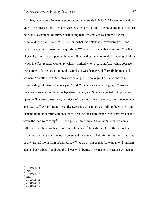first that, "the male is by nature superior, and the female inferior."<sup>86</sup> That sentence alone gives the reader an idea of where Greek women are placed in the hierarchy of society. He defends his statement by further insinuating that, "the male is by nature fitter for command than the female."<sup>87</sup> This is somewhat understandable considering the time period. A common answer to the question, "Why were women always inferior?" is that physically, men are equipped to hunt and fight, and women are made for having children, which in effect renders women physically limited when pregnant. Also, while courage was a much admired trait among the Greeks, it was displayed differently by men and women. Aristotle credits Socrates with saying, "The courage of a man is shown in commanding, of a woman in obeying," and, "Silence is a woman's glory."<sup>88</sup> Aristotle then brings to attention how the legislator Lycurgus at Sparta neglected to impose laws upon the Spartan women who, in Aristotle"s opinion, "live in every sort of intemperance and luxury."<sup>89</sup> According to Aristotle, Lycurgus gave up on controlling the women, and demanding their chastity and obedience, because their dominance in society was needed while the men were away.<sup>90</sup> He then goes on to comment that the Spartan women's influence on others has been "most mischievous."<sup>91</sup> In addition, Aristotle claims that tyrannies use these mischievous women and the slaves to help further the "evil practices of the last and worst form of democracy."<sup>92</sup> A tyrant hopes that the woman will "inform against her husband," and that the slaves will "betray their masters," because women and

 $\overline{a}$ 

 $89$  Ibid.

<sup>&</sup>lt;sup>86</sup> Lefkowitz, 38.

<sup>87</sup> Ibid.

<sup>88</sup> Lefkowitz, 39.

<sup>90</sup> Lefkowitz, 85.

<sup>&</sup>lt;sup>91</sup> Lefkowitz, 40.

 $92$  Lefkowitz, 41.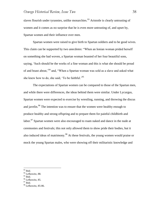slaves flourish under tyrannies, unlike monarchies.<sup>93</sup> Aristotle is clearly untrusting of women and it comes as no surprise that he is even more untrusting of, and upset by, Spartan women and their influence over men.

Spartan women were raised to give birth to Spartan soldiers and to be good wives. This claim can be supported by two anecdotes: "When an Ionian woman prided herself on something she had woven, a Spartan woman boasted of her four beautiful sons, saying, "Such should be the works of a fine woman and this is what she should be proud of and boast about,"<sup>94</sup> and, "When a Spartan woman was sold as a slave and asked what she knew how to do, she said. To be faithful.<sup>95</sup>

The expectations of Spartan women can be compared to those of the Spartan men, and while there were differences, the ideas behind them were similar. Under Lycurgus, Spartan women were expected to exercise by wrestling, running, and throwing the discus and javelin.<sup>96</sup> The intention was to ensure that the women were healthy enough to produce healthy and strong offspring and to prepare them for painful childbirth and labor.<sup>97</sup> Spartan women were also encouraged to roam naked and dance in the nude at ceremonies and festivals; this not only allowed them to show pride their bodies, but it also induced ideas of matrimony.<sup>98</sup> At these festivals, the young women would praise or mock the young Spartan males, who were showing off their militaristic knowledge and

 $\overline{a}$ 

 $95$  Ibid.

 $93$  Ibid.

<sup>&</sup>lt;sup>94</sup> Lefkowitz, 88.

<sup>&</sup>lt;sup>96</sup> Lefkowitz, 85.

<sup>97</sup> Ibid.

 $98$  Lefkowitz, 85-86.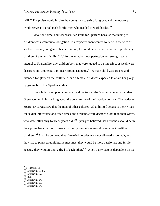skill.<sup>99</sup> The praise would inspire the young men to strive for glory, and the mockery would serve as a cruel push for the men who needed to work harder.<sup>100</sup>

Also, for a time, adultery wasn"t an issue for Spartans because the raising of children was a communal obligation. If a respected man wanted to lie with the wife of another Spartan, and gained his permission, he could lie with her in hopes of producing children of the best family.<sup>101</sup> Unfortunately, because perfection and strength were integral to Spartan life, any children born that were judged to be imperfect or weak were discarded in Apothetae, a pit near Mount Taygetus.<sup>102</sup> A male child was praised and intended for glory on the battlefield, and a female child was expected to attain her glory by giving birth to a Spartan soldier.

The scholar Xenophon compared and contrasted the Spartan women with other Greek women in his writing about the constitution of the Lacedaemonians. The leader of Sparta, Lycurgus, saw that the men of other cultures had unlimited access to their wives for sexual intercourse and often times, the husbands were decades older than their wives, who were often only fourteen years old.<sup>103</sup> Lycurgus believed that husbands should be in their prime because intercourse with their young wives would bring about healthier children.<sup>104</sup> Also, he believed that if married couples were not allowed to cohabit, and they had to plan secret nighttime meetings, they would be more passionate and fertile because they wouldn't have tired of each other.<sup>105</sup> When a city-state is dependent on its

 $102$  Ibid.

 $\overline{a}$ 

<sup>103</sup> Lefkowitz, 84.

<sup>&</sup>lt;sup>99</sup> Lefkowitz, 85.

<sup>100</sup> Lefkowitz, 85-86.

<sup>101</sup> Lefkowitz, 87.

<sup>104</sup> Lefkowitz, 85.

<sup>105</sup> Lefkowitz, 84.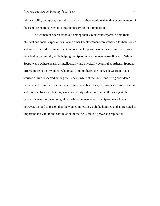military ability and glory, it stands to reason that they would realize that every member of their empire matters when it comes to preserving their reputation.

The women of Sparta stood out among their Greek counterparts in both their physical and social expectations. While other Greek women were confined to their homes and were expected to remain silent and obedient, Spartan women were busy perfecting their bodies and minds, while helping run Sparta when the men were off at war. While Sparta was nowhere nearly as intellectually and physically beautiful as Athens, Spartans offered more to their women, who greatly outnumbered the men. The Spartans had a warrior culture respected among the Greeks, while at the same time being considered barbaric and primitive. Spartan women may have been lucky to have access to education and physical freedom, but they were really only valued for their childbearing skills. When it is was these women giving birth to the men who made Sparta what it was, however, it stood to reason that the women in return would be honored and appreciated as important and vital to the continuation of their city-state"s power and reputation.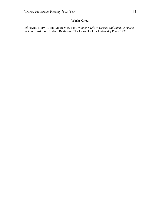### **Works Cited**

Lefkowitz, Mary R., and Maureen B. Fant. *Women's Life in Greece and Rome: A source book in translation*. 2nd ed. Baltimore: The Johns Hopkins University Press, 1992.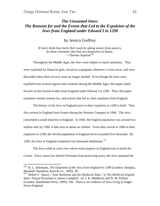$\overline{a}$ 

# *The Unwanted Ones: The Reasons for and the Events that Led to the Expulsion of the Jews from England under Edward I in 1290*

by Jessica Godfrey

*If rulers think they harm their souls by taking money from usurers, let them remember that they are themselves to blame.*  ---Thomas Aquinas<sup>106</sup>

Throughout the Middle Ages, the Jews were subject to much animosity. They were exploited for financial gain, served as scapegoats whenever a crisis arose, and were discarded when their services were no longer needed. Even though the Jews were expelled from several regions and countries during the Middle Ages, this paper solely focuses on the Jewish exodus from England under Edward I in 1290. Thus, this paper examines various reasons for, and actions that led to, their expulsion from England.

The history of the Jews in England prior to their expulsion in 1290 is brief. They first arrived in England from France during the Norman Conquest in 1066. The Jews constituted a small minority in England. In 1066, the English population was around two million and, by 1300, it had risen to about six million. From their arrival in 1066 to their expulsion in 1290, the Jewish population in England never exceeded five thousand. By 1290, the Jews in England comprised two thousand inhabitants. $107$ 

The Jews acted as cash cows whose main purpose in England was to profit the Crown. Since canon law barred Christians from practicing usury, the Jews assumed the

<sup>106</sup> B. L. Abrahams, *The Expulsion of the Jews from England in 1290* (London: Simpkin, Marshall, Hamilton, Kent & Co., 1895), 38.

<sup>107</sup> Robert C. Stacey, "Anti-Semitism and the Medieval State," in *The Medieval English State: Essays Presented to James Campbell,* ed. J. R. Maddicott and D. M. Palliser (London: Hambledon Press, 2000), 166. There is no evidence of Jews living in Anglo-Saxon England.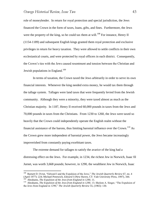role of moneylender. In return for royal protection and special jurisdiction, the Jews financed the Crown in the form of taxes, loans, gifts, and fines. Furthermore, the Jews were the property of the king, so he could tax them at will.<sup>108</sup> For instance, Henry II (1154-1189) and subsequent English kings granted them royal protection and exclusive privileges in return for heavy taxation. They were allowed to settle conflicts in their own ecclesiastical courts, and were protected by royal officers in each district. Consequently, the Crown"s ties with the Jews caused resentment and tension between the Christian and Jewish populations in England.<sup>109</sup>

In terms of taxation, the Crown taxed the Jews arbitrarily in order to serve its own financial interests. Whenever the king needed extra money, he would tax them through the tallage system. Tallages were land taxes that were frequently levied from the Jewish community. Although they were a minority, they were taxed almost as much as the Christian majority. In 1187, Henry II received 60,000 pounds in taxes from the Jews and 70,000 pounds in taxes from the Christians. From 1230 to 1260, the Jews were taxed so heavily that the Crown could independently operate the English realm without the financial assistance of the barons, thus limiting baronial influence over the Crown.<sup>110</sup> As the Crown grew more independent of baronial power, the Jews became increasingly impoverished from constantly paying exorbitant taxes.

The extreme demand for tallages to satisfy the avarice of the king had a distressing effect on the Jews. For example, in 1234, the richest Jew in Norwich, Isaac fil Jurnet, was worth 3,668 pounds; however, in 1290, the wealthiest Jew in Norwich, Isaac

 108 Barnett D. Ovrut, "Edward I and the Expulsion of the Jews," *The Jewish Quarterly Review* 67, no. 4 (April 1977): 224; Michael Prestwich, *Edward I* (New Haven, CT: Yale University Press, 1997), 344. 109 Abrahams, *The Expulsion of the Jews from England in 1290*, 11.

<sup>&</sup>lt;sup>110</sup> Abrahams, *The Expulsion of the Jews from England in 1290*, 13; Sholom A. Singer, "The Expulsion of the Jews from England in 1290," *The Jewish Quarterly Review* 55, (1965): 130.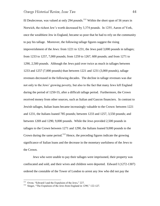fil Deulecresse, was valued at only 294 pounds.<sup>111</sup> Within the short span of 56 years in Norwich, the richest Jew"s worth decreased by 3,374 pounds. In 1255, Aaron of York, once the wealthiest Jew in England, became so poor that he had to rely on the community to pay his tallage. Moreover, the following tallage figures suggest the rising impoverishment of the Jews: from 1221 to 1231, the Jews paid 3,000 pounds in tallages; from 1233 to 1257, 7,000 pounds; from 1259 to 1267, 600 pounds; and from 1271 to 1290, 2,500 pounds. Although the Jews paid over twice as much in tallages between 1233 and 1257 (7,000 pounds) than between 1221 and 1231 (3,000 pounds), tallage revenues decreased in the following decades. The decline in tallage revenues was due not only to the Jews" growing poverty, but also to the fact that many Jews left England during the period of 1250-55, after a difficult tallage period. Furthermore, the Crown received money from other sources, such as Italian and Gascon financiers. In contrast to Jewish tallages, Italian loans became increasingly valuable to the Crown: between 1221 and 1231, the Italians loaned 785 pounds; between 1233 and 1257, 3,550 pounds; and between 1269 and 1290, 9,000 pounds. While the Jews provided 2,500 pounds in tallages to the Crown between 1271 and 1290, the Italians loaned 9,000 pounds to the Crown during the same period.<sup>112</sup> Hence, the preceding figures indicate the growing significance of Italian loans and the decrease in the monetary usefulness of the Jews to the Crown.

Jews who were unable to pay their tallages were imprisoned, their property was confiscated and sold, and their wives and children were deported. Edward I (1272-1307) ordered the constable of the Tower of London to arrest any Jew who did not pay the

 111 Ovrut, "Edward I and the Expulsion of the Jews," 227.

<sup>&</sup>lt;sup>112</sup> Singer, "The Expulsion of the Jews from England in 1290," 122-127.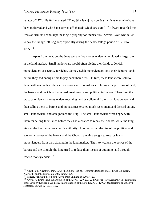tallage of 1274. He further stated: "They [the Jews] may be dealt with as men who have been outlawed and who have carried off chattels which are ours."<sup>113</sup> Edward regarded the Jews as criminals who kept the king"s property for themselves. Several Jews who failed to pay the tallage left England; especially during the heavy tallage period of 1250 to 1255.<sup>114</sup>

Apart from taxation, the Jews were active moneylenders who played a large role in the land market. Small landowners would often pledge their lands to Jewish moneylenders as security for debts. Some Jewish moneylenders sold their debtors" lands before they had enough time to pay back their debts. In turn, these lands were sold to those with available cash, such as barons and monasteries. Through the purchase of land, the barons and the Church amassed great wealth and political influence. Therefore, the practice of Jewish moneylenders receiving land as collateral from small landowners and then selling them to barons and monasteries created much resentment and discord among small landowners, and antagonized the king. The small landowners were angry with them for selling their lands before they had a chance to repay their debts, while the king viewed the them as a threat to his authority. In order to halt the rise of the political and economic power of the barons and the Church, the king sought to restrict Jewish moneylenders from participating in the land market. Thus, to weaken the power of the barons and the Church, the king tried to reduce their means of attaining land through Jewish moneylenders.<sup>115</sup>

<sup>113</sup> Cecil Roth, *A History of the Jews in England*, 3rd ed. (Oxford: Clarendon Press, 1964), 73; Ovrut, "Edward I and the Expulsion of the Jews," 226.

<sup>&</sup>lt;sup>114</sup> Singer, "The Expulsion of the Jews from England in 1290," 123.

<sup>&</sup>lt;sup>115</sup> Ovrut, "Edward I and the Expulsion of the Jews," 229-232, 234; George Hare Leonard, "The Expulsion of the Jews by Edward I: An Essay in Explanation of the Exodus, A. D. 1290," *Transactions of the Royal Historical Society* 5, (1891):112.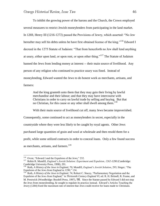To inhibit the growing power of the barons and the Church, the Crown employed several measures to restrict Jewish moneylenders from participating in the land market. In 1269, Henry III (1216-1272) passed the Provisions of Jewry, which asserted: "No Jew hereafter may sell his debts unless he have first obtained license of the king."<sup>116</sup> Edward I decreed in the 1275 Statute of Judaism: "That from henceforth no Jew shall lend anything at usury, either upon land, or upon rent, or upon other thing."<sup>117</sup> The Statute of Judaism banned the Jews from lending money at interest -- their main source of livelihood. Any person of any religion who continued to practice usury was fined. Instead of moneylending, Edward wanted the Jews to do honest work as merchants, artisans, and farmers:

And the king granteth unto them that they may gain their living by lawful merchandise and their labour; and that they may have intercourse with Christians in order to carry on lawful trade by selling and buying. But that no Christian, for this cause or any other shall dwell among them.<sup>118</sup>

With their main source of livelihood cut off, many Jews became impoverished. Consequently, some continued to act as moneylenders in secret, especially in the countryside where they were less likely to be caught by royal agents. Other Jews purchased large quantities of grain and wool at wholesale and then resold them for a profit, while some utilized contracts in order to conceal loans. Only a few found success as merchants, artisans, and farmers.<sup>119</sup>

 116 Ovrut, "Edward I and the Expulsion of the Jews," 232.

<sup>&</sup>lt;sup>117</sup> Robin R. Mundill, *England's Jewish Solution: Experiment and Expulsion, 1262-1290* (Cambridge: Cambridge University Press, 1998), 291.

<sup>118</sup> Roth, *A History of the Jews in England*, 70; Mundill, *England's Jewish Solution*, 293; Singer, "The Expulsion of the Jews from England in 1290," 134.

<sup>119</sup> Roth, *A History of the Jews in England*, 74; Robert C. Stacey, "Parliamentary Negotiation and the Expulsion of the Jews from England," in *Thirteenth Century England VI*, ed. R. H. Britnell, R. Frame, and M. Prestwick (Woodbridge: Boydell Press, 1997), 98. Since the Statute passed by Edward I did not stop the Jews from moneylending, he sought to regulate its practice instead. Edward"s Articles Touching the Jewry (1284) fixed the maximum rate of interest that Jews could receive for loans made to Christians.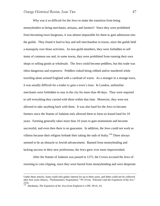Why was it so difficult for the Jews to make the transition from being moneylenders to being merchants, artisans, and farmers? Since they were prohibited from becoming town burgesses, it was almost impossible for them to gain admission into the guilds. They found it hard to buy and sell merchandise in towns, since the guilds held a monopoly over those activities. As non-guild members, they were forbidden to sell items of common use and, in some towns, they were prohibited from running their own shops or selling goods at wholesale. The Jews could become peddlers, but this trade was often dangerous and expensive. Peddlers risked being robbed and/or murdered while traveling alone around England with a cartload of wares. As a stranger in a strange town, it was usually difficult for a trader to gain a town"s trust. In London, unfamiliar merchants were forbidden to stay in the city for more than 40 days. They were required to sell everything they carried with them within that time. Moreover, they were not allowed to take anything back with them. It was also hard for the Jews to become farmers since the Statute of Judaism only allowed them to farm on leased land for 10 years. Farming generally takes more than 10 years to gain momentum and become successful, and even then there is no guarantee. In addition, the Jews could not work as villeins because their religion forbade their taking the oath of fealty.<sup>120</sup> There always seemed to be an obstacle to Jewish advancement. Banned from moneylending and lacking success in their new professions, the Jews grew ever more impoverished.

After the Statute of Judaism was passed in 1275, the Crown accused the Jews of resorting to coin-clipping, since they were barred from moneylending and were desperate

Under these articles, loans could only gather interest for up to three years, and debts could not be collected after four years (Stacey, "Parliamentary Negotiation," 99; Ovrut, "Edward I and the Expulsion of the Jew," 233).

<sup>120</sup> Abrahams, *The Expulsion of the Jews from England in 1290*, 39-41, 43.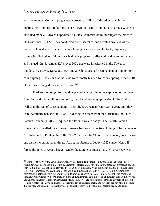$\overline{a}$ 

to make money. Coin-clipping was the process of filing off the edges of coins and melting the clippings into bullion. The Crown took coin-clipping very seriously, since it devalued money. Edward I appointed a judicial commission to investigate the practice. On November 17, 1278, they conducted house searches, and arrested any Jew whose house contained any evidence of coin-clipping, such as particular tools, clippings, or coins with filed edges. Many Jews had their property confiscated, and were imprisoned and hanged. In November 1278, over 600 Jews were imprisoned in the Tower of London. By May 1, 1279, 269 Jews and 29 Christians had been hanged in London for coin-clipping. It is clear that the Jews were mostly blamed for coin-clipping, because 10 of them were hanged for every Christian.<sup>121</sup>

Furthermore, religious prejudice played a large role in the expulsion of the Jews from England. As a religious minority, they faced growing oppression in England, as well as in the rest of Christiandom. Their plight worsened from year to year, until they were eventually banished in 1290. To distinguish them from the Christians, the Third Lateran Council (1178-79) required the Jews to wear a badge. The Fourth Lateran Council (1215) called for all Jews to wear a badge or distinctive clothing. The badge was first instituted in England in 1218. The Crown and the Church ordered every Jew to wear one on their clothing at all times. Again, the Statute of Jewry (1253) under Henry II forced the Jews to wear a badge. Under the Statute of Judaism (1275), every Jew was

<sup>&</sup>lt;sup>121</sup> Roth, *A History of the Jews in England*, 74-75; Robin R. Mundill, "Edward I and the Final Phase of Anglo-Jewry," in *The Jews in Medieval Britain: Historical, Literary and Archaeological Perspectives*, ed. Patricia Skinner (Woodbridge: Boydell Press, 2003), 62; Stacey, "Anti-Semitism and the Medieval State," 175-176; Abrahams, *The Expulsion of the Jews from England in 1290*, 47-49, 76. Coin-clipping was common in England before the Statute of Judaism was enacted in 1275. In fact, in 1248, the chronicler Matthew Paris wrote: "No foreigner, let alone an Englishman, could look on an English coin with dry eyes and unbroken heart." Paris further noted: "They [the Jews] are notorious forgers and clippers of the coin." He also wrote: "The Jews had nearly all their money taken from them, and yet they are not pitied, because it is proved, and is manifest, that they are continually convicted of forging charters, seals, and coins."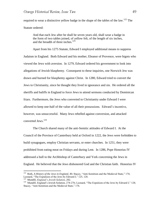required to wear a distinctive yellow badge in the shape of the tables of the law.<sup>122</sup> The Statute ordered:

And that each Jew after he shall be seven years old, shall wear a badge in the form of two tables joined, of yellow felt, of the length of six inches, and the breadth of three inches.<sup>123</sup>

Apart from his 1275 Statute, Edward I employed additional means to suppress Judaism in England. Both Edward and his mother, Eleanor of Provence, were bigots who viewed the Jews with aversion. In 1279, Edward ordered his government to look into allegations of Jewish blasphemy. Consequent to these inquiries, one Norwich Jew was drawn and burned for blasphemy against Christ. In 1280, Edward tried to convert the Jews to Christianity, since he thought they lived in ignorance and sin. He ordered all the sheriffs and baliffs in England to force Jews to attend sermons conducted by Dominican friars. Furthermore, the Jews who converted to Christianity under Edward I were allowed to keep one-half of the value of all their possessions. Edward"s incentive, however, was unsuccessful. Many Jews rebelled against conversion, and attacked converted Jews.<sup>124</sup>

The Church shared many of the anti-Semitic attitudes of Edward I. At the Council of the Province of Canterbury held at Oxford in 1222, the Jews were forbidden to build synagogues, employ Christian servants, or enter churches. In 1251, they were prohibited from eating meat on Fridays and during Lent. In 1286, Pope Honorius IV addressed a bull to the Archbishop of Canterbury and York concerning the Jews in England. He believed that the Jews dishonored God and the Christian faith. Honorius IV

<sup>&</sup>lt;sup>122</sup> Roth, *A History of the Jews in England*, 40; Stacey, "Anti-Semitism and the Medieval State," 174; Leonard, "The Expulsion of the Jews by Edward I," 125, 128.

<sup>123</sup> Mundill, *England's Jewish Solution*, 292.

<sup>&</sup>lt;sup>124</sup> Mundill, England's Jewish Solution, 274-276; Leonard, "The Expulsion of the Jews by Edward I," 128; Stacey, "Anti-Semitism and the Medieval State," 176.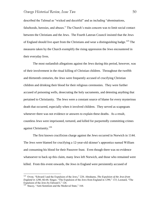described the Talmud as "wicked and deceitful" and as including "abominations, falsehoods, heresies, and abuses." The Church's main concern was to limit social contact between the Christians and the Jews. The Fourth Lateran Council insisted that the Jews of England should live apart from the Christians and wear a distinguishing badge.<sup>125</sup> The measures taken by the Church exemplify the rising oppression the Jews encountered in their everyday lives.

The most outlandish allegations against the Jews during this period, however, was of their involvement in the ritual killing of Christian children. Throughout the twelfth and thirteenth centuries, the Jews were frequently accused of crucifying Christian children and drinking their blood for their religious ceremonies. They were further accused of poisoning wells, desecrating the holy sacraments, and detesting anything that pertained to Christianity. The Jews were a constant source of blame for every mysterious death that occurred, especially when it involved children. They served as scapegoats whenever there was not evidence or answers to explain these deaths. As a result, countless Jews were imprisoned, tortured, and killed for purportedly committing crimes against Christianity.<sup>126</sup>

The first known crucifixion charge against the Jews occurred in Norwich in 1144. The Jews were blamed for crucifying a 12-year-old skinner"s apprentice named William and consuming his blood for their Passover feast. Even though there was no evidence whatsoever to back up this claim, many Jews left Norwich, and those who remained were killed. From this event onwards, the Jews in England were persistently accused of

<sup>125</sup> Ovrut, "Edward I and the Expulsion of the Jews," 228; Abrahams, *The Expulsion of the Jews from England in 1290*, 66-68; Singer, "The Expulsion of the Jews from England in 1290," 133; Leonard, "The Expulsion of the Jews by Edward I," 126.

 $126$  Stacey, "Anti-Semitism and the Medieval State," 164.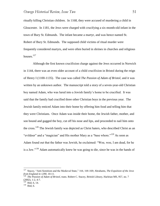ritually killing Christian children. In 1168, they were accused of murdering a child in Gloucester. In 1181, the Jews were charged with crucifying a six-month-old infant in the town of Bury St. Edmunds. The infant became a martyr, and was hence named St. Robert of Bury St. Edmunds. The supposed child victims of ritual murder were frequently considered martyrs, and were often buried in shrines in churches and religious houses. $127$ 

Although the first known crucifixion charge against the Jews occurred in Norwich in 1144, there was an even older account of a child crucifixion in Bristol during the reign of Henry I (1100-1135). The case was called *The Passion of Adam of Bristol*, and it was written by an unknown author. The manuscript told a story of a seven-year-old Christian boy named Adam, who was lured into a Jewish family"s home to be crucified. It was said that the family had crucified three other Christian boys in the previous year. The Jewish family enticed Adam into their home by offering him food and telling him that they were Christians. Once Adam was inside their home, the Jewish father, mother, and son bound and gagged the boy, cut off his nose and lips, and proceeded to nail him onto the cross.<sup>128</sup> The Jewish family was depicted as Christ haters, who described Christ as an "evildoer" and a "magician" and His mother Mary as a "base whore."<sup>129</sup> As soon as Adam found out that the father was Jewish, he exclaimed: "Woe, woe, I am dead, for he is a Jew."<sup>130</sup> Adam automatically knew he was going to die, since he was in the hands of

<sup>127</sup> Stacey, "Anti-Semitism and the Medieval State," 164, 168-169; Abrahams, *The Expulsion of the Jews from England in 1290*, 10-11. 128 *The Passion of Adam of Bristol*, trans. Robert C. Stacey, British Library, Harleian MS, 957, no. 7

 $(2002)$ , 1-2, 4-7.<br><sup>129</sup> Ibid, 6, 14.

 $130$  Ibid, 6.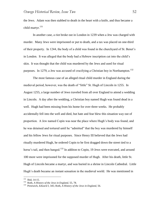the Jews. Adam was then stabbed to death in the heart with a knife, and thus became a child martyr.<sup>131</sup>

In another case, a riot broke out in London in 1239 when a Jew was charged with murder. Many Jews were imprisoned or put to death, and a tax was placed on one-third of their property. In 1244, the body of a child was found in the churchyard of St. Benet"s in London. It was alleged that the body had a Hebrew inscription cut into the child"s skin. It was thought that the child was murdered by the Jews and used for ritual purposes. In 1279, a Jew was accused of crucifying a Christian boy in Northampton.<sup>132</sup>

The most famous case of an alleged ritual child murder in England during the medieval period, however, was the death of "little" St. Hugh of Lincoln in 1255. In August 1255, a large number of Jews traveled from all over England to attend a wedding in Lincoln. A day after the wedding, a Christian boy named Hugh was found dead in a well. Hugh had been missing from his home for over three weeks. He probably accidentally fell into the well and died, but hate and fear blew this situation way out of proportion. A Jew named Copin was near the place where Hugh"s body was found, and he was detained and tortured until he "admitted" that the boy was murdered by himself and his fellow Jews for ritual purposes. Since Henry III believed that the Jews had ritually murdered Hugh, he ordered Copin to be first dragged down the street tied to a horse's tail, and then hanged.<sup>133</sup> In additon to Copin, 19 Jews were executed, and around 100 more were imprisoned for the supposed murder of Hugh. After his death, little St. Hugh of Lincoln became a martyr, and was buried in a shrine in Lincoln Cathedral. Little Hugh's death became an instant sensation in the medieval world. He was mentioned in

 $131$  Ibid, 14-15.

<sup>132</sup> Roth, *A History of the Jews in England*, 55, 78.

<sup>133</sup> Prestwich, *Edward I*, 345; Roth, *A History of the Jews in England*, 56.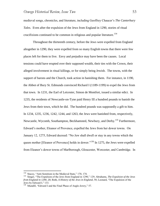medieval songs, chronicles, and literature, including Geoffrey Chaucer"s *The Canterbury Tales*. Even after the expulsion of the Jews from England in 1290, stories of ritual crucifixions continued to be common in religious and popular literature.<sup>134</sup>

Throughout the thirteenth century, before the Jews were expelled from England altogether in 1290, they were expelled from so many English towns that there were few places left for them to live. Envy and prejudice may have been the causes. Local tensions could have erupted over their supposed wealth, their ties with the Crown, their alleged involvement in ritual killings, or for simply being Jewish. The towns, with the support of barons and the Church, took action in banishing them. For instance, in 1190, the Abbot of Bury St. Edmunds convinced Richard I (1189-1199) to expel the Jews from that town. In 1231, the Earl of Leicester, Simon de Montfort, issued a similar edict. In 1235, the residents of Newcastle-on-Tyne paid Henry III a hundred pounds to banish the Jews from their town, which he did. The hundred pounds was supposedly a gift to him. In 1234, 1235, 1236, 1242, 1244, and 1263, the Jews were banished from, respectively, Newcastle, Wycomb, Southampton, Beckhamsted, Newbury, and Derby.<sup>135</sup> Furthermore, Edward"s mother, Eleanor of Provence, expelled the Jews from her dower towns. On January 12, 1275, Edward decreed: "No Jew shall dwell or stay in any towns which the queen mother [Eleanor of Provence] holds in dower."<sup>136</sup> In 1275, the Jews were expelled from Eleanor's dower towns of Marlborough, Gloucester, Worcester, and Cambridge. In

 134 Stacey, "Anti-Semitism in the Medieval State," 170, 174.

<sup>135</sup> Singer, "The Expulsion of the Jews from England in 1290," 129; Abrahams, *The Expulsion of the Jews from England in 1290*, 20; Roth, *A History of the Jews in England*, 58; Leonard, "The Expulsion of the Jews by Edward I," 133.

<sup>&</sup>lt;sup>136</sup> Mundill, "Edward I and the Final Phase of Anglo-Jewry," 57.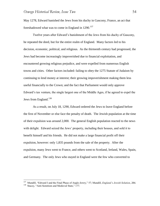May 1278, Edward banished the Jews from his duchy in Gascony, France, an act that foreshadowed what was to come in England in  $1290$ <sup>137</sup>

Twelve years after Edward"s banishment of the Jews from his duchy of Gascony, he repeated the deed, but for the entire realm of England. Many factors led to his decision, economic, political, and religious. As the thirteenth century had progressed, the Jews had become increasingly impoverished due to financial exploitation, and encountered growing religious prejudice, and were expelled from numerous English towns and cities. Other factors included: failing to obey the 1275 Statute of Judaism by continuing to lend money at interest; their growing impoverishment making them less useful financially to the Crown; and the fact that Parliament would only approve Edward"s tax venture, the single largest one of the Middle Ages, if he agreed to expel the Jews from England.<sup>138</sup>

As a result, on July 18, 1290, Edward ordered the Jews to leave England before the first of November or else face the penalty of death. The Jewish population at the time of their expulsion was around 2,000. The general English population reacted to the news with delight. Edward seized the Jews' property, including their houses, and sold it to benefit himself and his friends. He did not make a large financial profit off their expulsion, however: only 1,835 pounds from the sale of the property. After the expulsion, many Jews went to France, and others went to Scotland, Ireland, Wales, Spain, and Germany. The only Jews who stayed in England were the few who converted to

<sup>137</sup> Mundill, "Edward I and the Final Phase of Anglo-Jewry," 57; Mundill, *England's Jewish Solution*, 284.

<sup>&</sup>lt;sup>138</sup> Stacey, "Anti-Semitism and Medieval State," 177.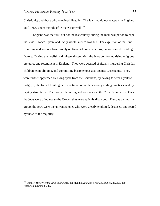Christianity and those who remained illegally. The Jews would not reappear in England until 1656, under the rule of Oliver Cromwell.<sup>139</sup>

England was the first, but not the last country during the medieval period to expel the Jews. France, Spain, and Sicily would later follow suit. The expulsion of the Jews from England was not based solely on financial considerations, but on several deciding factors. During the twelfth and thirteenth centuries, the Jews confronted rising religious prejudice and resentment in England. They were accused of ritually murdering Christian children, coin-clipping, and committing blasphemous acts against Christianity. They were further oppressed by living apart from the Christians, by having to wear a yellow badge, by the forced limiting or discontinuation of their moneylending practices, and by paying steep taxes. Their only role in England was to serve the Crown"s interests. Once the Jews were of no use to the Crown, they were quickly discarded. Thus, as a minority group, the Jews were the unwanted ones who were greatly exploited, despised, and feared by those of the majority.

 139 Roth, *A History of the Jews in England*, 85; Mundill, *England's Jewish Solution*, 26, 255, 259; Prestwich, *Edward I*, 346.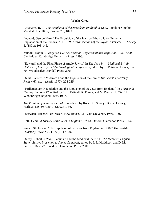#### **Works Cited**

Abrahams, B. L. *The Expulsion of the Jews from England in 1290*. London: Simpkin, Marshall, Hamilton, Kent & Co., 1895.

Leonard, George Hare. "The Expulsion of the Jews by Edward I: An Essay in Explanation of the Exodus, A. D. 1290." *Transactions of the Royal Historical Society* 5, (1891): 103-146.

Mundill, Robin R. *England's Jewish Solution: Experiment and Expulsion, 1262-1290*. Cambridge: Cambridge University Press, 1998.

"Edward I and the Final Phase of Anglo-Jewry." In *The Jews in Medieval Britain: Historical, Literary and Archaeological Perspectives*, edited by Patricia Skinner, 55- 70. Woodbridge: Boydell Press, 2003.

Ovrut. Barnett D. "Edward I and the Expulsion of the Jews." *The Jewish Quarterly Review* 67, no. 4 (April, 1977): 224-235.

"Parliamentary Negotiation and the Expulsion of the Jews from England." In *Thirteenth Century England VI*, edited by R. H. Britnell, R. Frame, and M. Prestwich, 77-101. Woodbridge: Boydell Press, 1997.

*The Passion of Adam of Bristol*. Translated by Robert C. Stacey. British Library, Harleian MS. 957, no. 7, (2002): 1-36.

Prestwich, Michael. *Edward I*. New Haven, CT: Yale University Press, 1997.

Roth, Cecil. *A History of the Jews in England*. 3<sup>rd</sup> ed. Oxford: Clarendon Press, 1964.

Singer, Sholom A. "The Expulsion of the Jews from England in 1290." *The Jewish Quarterly Review* 55, (1965): 117-136.

Stacey, Robert C. "Anti-Semitism and the Medieval State." In *The Medieval English State : Essays Presented to James Campbell*, edited by J. R. Maddicott and D. M. Palliser, 163-177. London: Hambledon Press, 2000.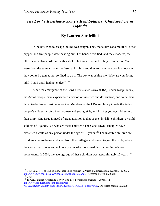# *The Lord's Resistance Army's Real Soldiers: Child soldiers in Uganda*

## **By Lauren Sordellini**

"One boy tried to escape, but he was caught. They made him eat a mouthful of red pepper, and five people were beating him. His hands were tied, and they made us, the other new captives, kill him with a stick. I felt sick. I knew this boy from before. We were from the same village. I refused to kill him and they told me they would shoot me, they pointed a gun at me, so I had to do it. The boy was asking me "Why are you doing this?' I said that I had no choice."  $140$ 

Since the emergence of the Lord"s Resistance Army (LRA), under Joseph Kony, the Acholi people have experienced a period of violence and destruction, and some have dared to declare a possible genocide. Members of the LRA ruthlessly invade the Acholi people"s villages, raping their women and young girls, and forcing young children into their army. One issue in need of great attention is that of the "invisible children" or child soldiers of Uganda. But who are these children? The Cape Town Principles have classified a child as any person under the age of 18 years.<sup>141</sup> The invisible children are children who are being abducted from their villages and forced to join the LRA, where they act as sex slaves and soldiers brainwashed to spread destruction in their own hometowns. In 2004, the average age of these children was approximately 12 years.  $142$ 

 $140$  Gray, James. "The End of Innocence: Child soldiers in Africa and International assistance (2002), [http://www.dev-zone.net/downloads/devnetabstract368.pdf.](http://www.dev-zone.net/downloads/devnetabstract368.pdf) (Accessed March 05, 2008)  $141$  Gray.

<sup>142</sup> Talwar, Namrita. "Fostering Terror: Child soldier crisis in Uganda" (2004), 1-2, [http://www.proquest.umi.com/pqdlink?did-](http://www.proquest.umi.com/pqdlink?did-76152031&sid=6&Fmt=4&clientld=32258&RQT=309&VName=PQD)

[<sup>76152031&</sup>amp;sid=6&Fmt=4&clientld=32258&RQT=309&VName=PQD.](http://www.proquest.umi.com/pqdlink?did-76152031&sid=6&Fmt=4&clientld=32258&RQT=309&VName=PQD) (Accessed March 12, 2008)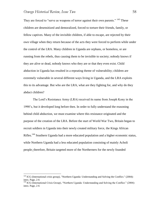They are forced to "serve as weapons of terror against their own parents." <sup>143</sup> These children are desensitized and demoralized, forced to torture their friends, family, or fellow captives. Many of the invisible children, if able to escape, are rejected by their own village when they return because of the acts they were forced to perform while under the control of the LRA. Many children in Uganda are orphans, or homeless, or are running from the rebels, thus causing them to be invisible to society; nobody knows if they are alive or dead, nobody knows who they are or that they even exist. Child abduction in Uganda has resulted in a repeating theme of vulnerability; children are extremely vulnerable in several different ways living in Uganda, and the LRA exploits this to its advantage. But who are the LRA, what are they fighting for, and why do they abduct children?

The Lord"s Resistance Army (LRA) received its name from Joseph Kony in the 1990"s, but it developed long before then. In order to fully understand the reasoning behind child abduction, we must examine where this resistance originated and the purpose of the creation of the LRA. Before the start of World War Two, Britain began to recruit soldiers in Uganda into their newly created military force, the Kings African Rifles.<sup>144</sup> Southern Uganda had a more educated population and a higher economic status, while Northern Uganda had a less educated population consisting of mainly Acholi people; therefore, Britain targeted more of the Northerners for the newly founded

<sup>&</sup>lt;sup>143</sup> ICG (International crisis group), "Northern Uganda: Understanding and Solving the Conflict." (2004): intro. Page, 2-6

<sup>&</sup>lt;sup>144</sup> ICG (International Crisis Group), "Northern Uganda: Understanding and Solving the Conflict." (2004): intro. Page, 2-6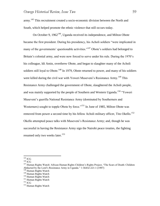army.<sup>145</sup> This recruitment created a socio-economic division between the North and South, which helped promote the ethnic violence that still occurs today.

On October 9,  $1962^{146}$ , Uganda received its independence, and Milton Obote became the first president. During his presidency, his Acholi soldiers "were implicated in many of the governments' questionable activities."<sup>147</sup> Obote's soldiers had belonged to Britain's colonial army, and were now forced to serve under his rule. During the 1970's his colleague, Idi Amin, overthrew Obote, and began to slaughter many of the Acholi soldiers still loyal to Obote.<sup>148</sup> In 1979, Obote returned to power, and many of his soldiers were killed during the civil war with Yoweri Museveni's Resistance Army.<sup>149</sup> This Resistance Army challenged the government of Obote, slaughtered the Acholi people, and was mainly supported by the people of Southern and Western Uganda.<sup>150</sup> "Yoweri" Museveni"s guerilla National Resistance Army (dominated by Southerners and Westerners) sought to topple Obote by force."<sup>151</sup> In June of 1985, Milton Obote was removed from power a second time by his fellow Acholi military officer, Tito Okello.<sup>152</sup> Okello attempted peace talks with Museveni"s Resistance Army; and, though he was successful in having the Resistance Army sign the Nairobi peace treaties, the fighting resumed only two weeks later.<sup>153</sup>

 $145$  ICG

 $^{146}$  ICG

<sup>&</sup>lt;sup>147</sup> Human Rights Watch/ African Human Rights Children's Rights Project, "The Scars of Death: Children Abducted by the Lord"s Resistance Army in Uganda." 1-56432-221-1 (1997) <sup>148</sup> Human Rights Watch

<sup>&</sup>lt;sup>149</sup> Human Rights Watch

<sup>&</sup>lt;sup>150</sup> Human Rights Watch

<sup>&</sup>lt;sup>151</sup> Human Rights Watch

 $^{152}$  ICG

<sup>&</sup>lt;sup>153</sup> Human Rights Watch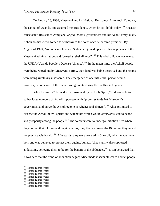On January 26, 1986, Museveni and his National Resistance Army took Kampala, the capital of Uganda, and assumed the presidency, which he still holds today.<sup>154</sup> Because Museveni"s Resistance Army challenged Obote"s government and his Acholi army, many Acholi soldiers were forced to withdraw to the north once he became president. By August of 1978, "Acholi ex-soldiers in Sudan had joined up with other opponents of the Museveni administration, and formed a rebel alliance".<sup>155</sup> This rebel alliance was named the UPDA (Uganda People's Defense Alliance).<sup>156</sup> In the mean time, the Acholi people were being wiped out by Museveni"s army, their land was being destroyed and the people were being ruthlessly massacred. The emergence of one influential person would, however, become one of the main turning points during the conflict in Uganda.

Alice Lakwena "claimed to be possessed by the Holy Spirit," and was able to gather large numbers of Acholi supporters with "promises to defeat Museveni"s government and purge the Acholi people of witches and sinners".<sup>157</sup> Alice promised to cleanse the Acholi of evil spirits and witchcraft, which would afterwards lead to peace and prosperity among the people.<sup>158</sup> The soldiers were to undergo initiation rites where they burned their clothes and magic charms; they then swore on the Bible that they would not practice witchcraft.<sup>159</sup> Afterwards, they were covered in Shea oil, which made them holy and was believed to protect them against bullets. Alice"s army also supported abductions, believing them to be for the benefit of the abductees.<sup>160</sup> It can be argued that it was here that the trend of abduction began; Alice made it seem ethical to abduct people

<sup>&</sup>lt;sup>154</sup> Human Rights Watch

<sup>&</sup>lt;sup>155</sup> Human Rights Watch

<sup>&</sup>lt;sup>156</sup> Human Rights Watch

<sup>&</sup>lt;sup>157</sup> Human Rights Watch

<sup>&</sup>lt;sup>158</sup> Human Rights Watch

<sup>&</sup>lt;sup>159</sup> Human Rights Watch

<sup>&</sup>lt;sup>160</sup> Human Rights Watch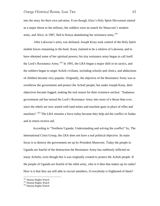into the army for their own salvation. Even though Alice"s Holy Spirit Movement started as a major threat to the military, her soldiers were no match for Museveni"s modern army, and Alice, in 1987, fled to Kenya abandoning her resistance army.<sup>161</sup>

After Lakwena"s army was defeated, Joseph Kony took control of the Holy Spirit mobile forces remaining in the bush. Kony claimed to be a relative of Lakwena, and to have obtained some of her spiritual powers; his tiny resistance army began to call itself the Lord's Resistance Army.<sup>162</sup> In 1991, the LRA began a major shift in its tactics, and the soldiers began to target Acholi civilians, including schools and clinics, and abductions of children became very popular. Originally, the objective of the Resistance Army was to overthrow the government and protect the Acholi people; but under Joseph Kony, their objectives became fogged, making the real reason for their existence unclear. "Sudanese government aid has turned the Lord"s Resistance Army into more of a threat than ever, since the rebels are now armed with land mines and machine guns in place of rifles and machetes".<sup>163</sup> The LRA remains a force today because they help aid the conflict in Sudan and in return receive aid.

According to "Northern Uganda: Understanding and solving the conflict" by, The International Crisis Group, the LRA does not have a real political objective. Its main focus is to destroy the government set up by President Museveni. Today the people in Uganda are fearful of the destruction the Resistance Army has ruthlessly inflicted on many Acholis, even though this it was originally created to protect the Acholi people. If the people of Uganda are fearful of the rebel army, who is it then that makes up its ranks? How is it that they are still able to recruit members, if everybody is frightened of them?

<sup>&</sup>lt;sup>161</sup> Human Rights Watch

<sup>&</sup>lt;sup>162</sup> Human Rights Watch

<sup>&</sup>lt;sup>163</sup> Human Rights Watch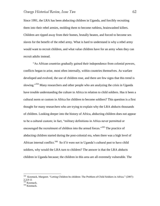Since 1991, the LRA has been abducting children in Uganda, and forcibly recruiting them into their rebel armies, molding them to become ruthless, brainwashed killers. Children are ripped away from their homes, brutally beaten, and forced to become sex slaves for the benefit of the rebel army. What is hard to understand is why a rebel army would want to recruit children, and what value children have for an army when they can recruit adults instead.

"As African countries gradually gained their independence from colonial powers, conflicts began to arise, most often internally, within countries themselves. As warfare developed and evolved, the use of children rose, and there are few signs that this trend is slowing."<sup>164</sup> Many researchers and other people who are analyzing the crisis in Uganda have trouble understanding the culture in Africa in relation to child soldiers. Has it been a cultural norm or custom in Africa for children to become soldiers? This question is a first thought for many researchers who are trying to explain why the LRA abducts thousands of children. Looking deeper into the history of Africa, abducting children does not appear to be a cultural custom; in fact, "military definitions in Africa never permitted or encouraged the recruitment of children into the armed forces."<sup>165</sup> The practice of abducting children started during the post-colonial era, when there was a high level of African internal conflict.<sup>166</sup> So if it were not in Uganda's cultural past to have child soldiers, why would the LRA turn to children? The answer is that the LRA abducts children in Uganda because; the children in this area are all extremely vulnerable. The

 164 Kosmack, Margaret. "Letting Children be children: The Problem of Child Soldiers in Africa." (2007): 2,3,9-11

 $^{165}$  Kosmack.

<sup>&</sup>lt;sup>166</sup> Kosmack.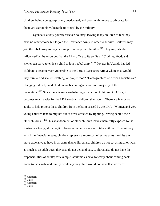children, being young, orphaned, uneducated, and poor, with no one to advocate for them, are extremely vulnerable to control by the military.

Uganda is a very poverty stricken country; leaving many children to feel they have no other choice but to join the Resistance Army in order to survive. Children may join the rebel army so they can support or help their families.<sup>167</sup> They may also be influenced by the resources that the LRA offers to its soldiers. "Clothing, food, and shelter can serve to entice a child to join a rebel army."<sup>168</sup> Poverty in Uganda has led children to become very vulnerable to the Lord"s Resistance Army; where else would they turn to find shelter, clothing, or proper food? "Demographics of African societies are changing radically, and children are becoming an enormous majority of the population."<sup>169</sup> Since there is an overwhelming population of children in Africa, it becomes much easier for the LRA to obtain children than adults. There are few or no adults to help protect these children from the harm caused by the LRA. "Women and very young children tend to migrate out of areas affected by fighting, leaving behind their older children." <sup>170</sup>This abandonment of older children leaves them fully exposed to the Resistance Army, allowing it to become that much easier to take children. To a military with little financial means, children represent a more cost effective army. Adults are more expensive to have in an army than children are; children do not eat as much or wear as much as an adult does, they also do not demand pay. Children also do not have the responsibilities of adults; for example, adult males have to worry about coming back home to their wife and family, while a young child would not have that worry or

<sup>&</sup>lt;sup>167</sup> Kosmack.

 $168$  Gates.

<sup>169</sup> Kosmack.

 $170$  Gates.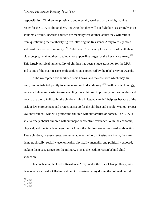responsibility. Children are physically and mentally weaker than an adult, making it easier for the LRA to abduct them, knowing that they will not fight back as strongly as an adult male would. Because children are mentally weaker than adults they will refrain from questioning their authority figures, allowing the Resistance Army to easily mold and twist their sense of morality.<sup>171</sup> Children are "frequently less terrified of death than older people," making them, again, a more appealing target for the Resistance Army.<sup>172</sup> This largely physical vulnerability of children has been a huge attraction for the LRA, and is one of the main reasons child abduction is practiced by the rebel army in Uganda.

"The widespread availability of small arms, and the ease with which they are used, has contributed greatly to an increase in child soldiering."<sup>173</sup> With new technology, guns are lighter and easier to use, enabling more children to properly hold and understand how to use them. Politically, the children living in Uganda are left helpless because of the lack of law enforcement and protection set up for the children and people. Without proper law enforcement, who will protect the children without families or homes? The LRA is able to freely abduct children without major or effective resistance. With the economic, physical, and mental advantages the LRA has, the children are left exposed to abduction. These children, in every sense, are vulnerable to the Lord"s Resistance Army; they are demographically, socially, economically, physically, mentally, and politically exposed, making them easy targets for the military. This is the leading reason behind child abduction.

In conclusion, the Lord"s Resistance Army, under the rule of Joseph Kony, was developed as a result of Britain"s attempt to create an army during the colonial period,

 $171$  Gray.

 $172$  Gray.

 $173$  Gray.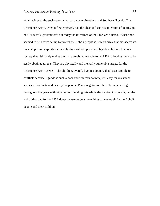which widened the socio-economic gap between Northern and Southern Uganda. This Resistance Army, when it first emerged, had the clear and concise intention of getting rid of Museveni"s government; but today the intentions of the LRA are blurred. What once seemed to be a force set up to protect the Acholi people is now an army that massacres its own people and exploits its own children without purpose. Ugandan children live in a society that ultimately makes them extremely vulnerable to the LRA, allowing them to be easily obtained targets. They are physically and mentally vulnerable targets for the Resistance Army as well. The children, overall, live in a country that is susceptible to conflict; because Uganda is such a poor and war torn country, it is easy for resistance armies to dominate and destroy the people. Peace negotiations have been occurring throughout the years with high hopes of ending this ethnic destruction in Uganda, but the end of the road for the LRA doesn"t seem to be approaching soon enough for the Acholi people and their children.